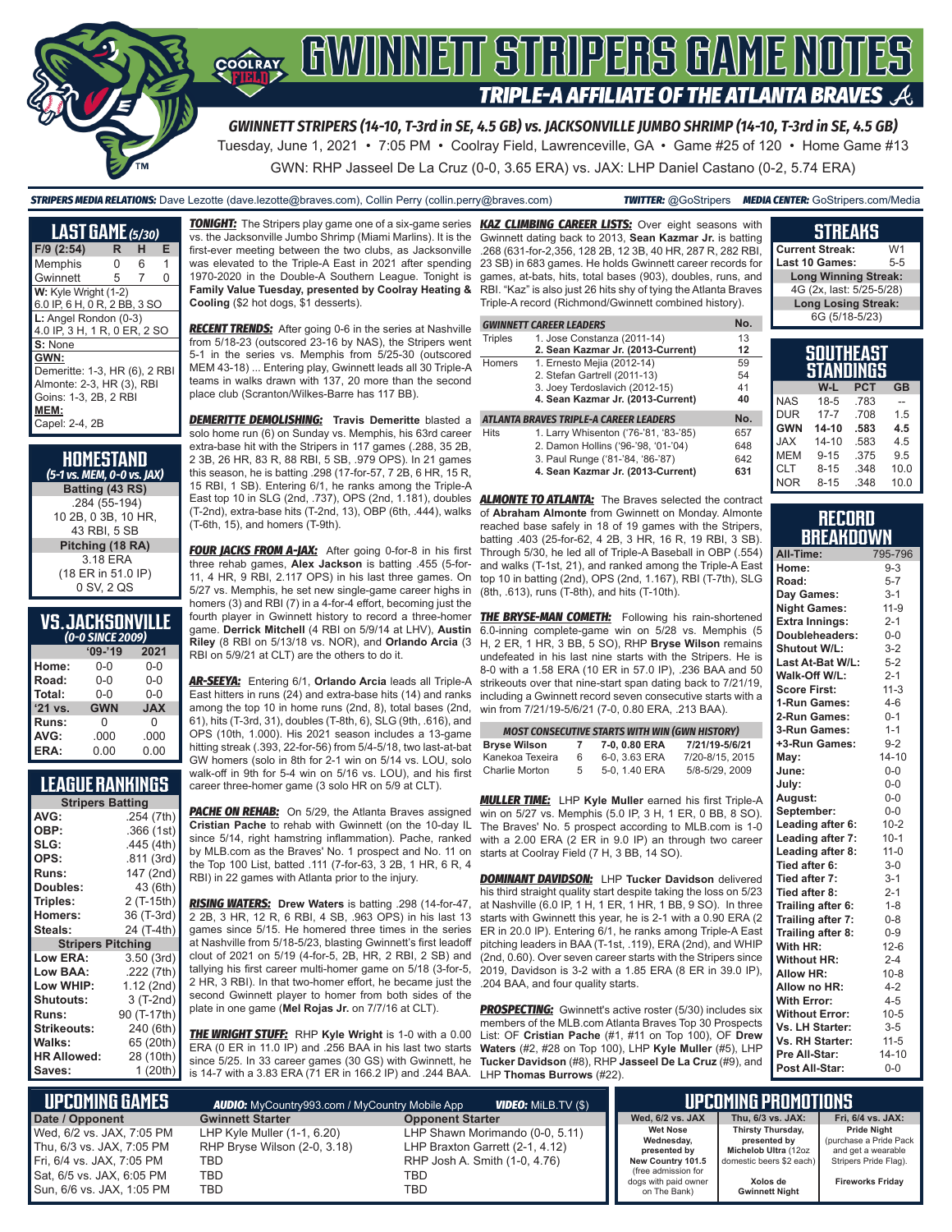

## GWINNEIT STRIPERS GAME NOTES COOLRAY **TRIPLE-A AFFILIATE OF THE ATLANTA BRAVES**

*GWINNETT STRIPERS (14-10, T-3rd in SE, 4.5 GB) vs. JACKSONVILLE JUMBO SHRIMP (14-10, T-3rd in SE, 4.5 GB)* Tuesday, June 1, 2021 • 7:05 PM • Coolray Field, Lawrenceville, GA • Game #25 of 120 • Home Game #13 GWN: RHP Jasseel De La Cruz (0-0, 3.65 ERA) vs. JAX: LHP Daniel Castano (0-2, 5.74 ERA)

*STRIPERS MEDIA RELATIONS:* Dave Lezotte (dave.lezotte@braves.com), Collin Perry (collin.perry@braves.com) *TWITTER:* @GoStripers *MEDIA CENTER:* GoStripers.com/Media

| LAST GAME (5/30)                                                                                                      |    |   |   |
|-----------------------------------------------------------------------------------------------------------------------|----|---|---|
| $F/9$ (2:54)                                                                                                          | R. | н | Е |
| Memphis                                                                                                               | ი  | 6 | 1 |
| Gwinnett                                                                                                              | 5  | 7 | 0 |
| W: Kyle Wright (1-2)<br>6.0 IP, 6 H, 0 R, 2 BB, 3 SO                                                                  |    |   |   |
| L: Angel Rondon (0-3)<br>4.0 IP, 3 H, 1 R, 0 ER, 2 SO                                                                 |    |   |   |
| S: None                                                                                                               |    |   |   |
| GWN:<br>Demeritte: 1-3, HR (6), 2 RBI<br>Almonte: 2-3, HR (3), RBI<br>Goins: 1-3, 2B, 2 RBI<br>MEM:<br>Capel: 2-4, 2B |    |   |   |

| HOMESTAND<br>(5-1 vs. MEM, 0-0 vs. JAX) |
|-----------------------------------------|
| Batting (43 RS)                         |
| .284 (55-194)                           |
| 10 2B, 0 3B, 10 HR,                     |
| 43 RBI, 5 SB                            |
| Pitching (18 RA)                        |
| 3.18 ERA                                |
| (18 ER in 51.0 IP)                      |
| 0 SV, 2 QS                              |
|                                         |

## **VS. JACKSONVILLE**

| (0-0 SINCE 2009) |            |            |  |  |  |  |
|------------------|------------|------------|--|--|--|--|
|                  | $'09-'19$  | 2021       |  |  |  |  |
| Home:            | $0 - 0$    | $0 - 0$    |  |  |  |  |
| Road:            | $0 - 0$    | $0 - 0$    |  |  |  |  |
| Total:           | $0 - 0$    | $0 - 0$    |  |  |  |  |
| '21 vs.          | <b>GWN</b> | <b>JAX</b> |  |  |  |  |
| Runs:            | 0          | 0          |  |  |  |  |
| AVG:             | .000       | .000       |  |  |  |  |
| ERA:             | 0.00       | 0.00       |  |  |  |  |

## **LEAGUE RANKINGS**

| <b>Stripers Batting</b>  |             |  |  |  |  |
|--------------------------|-------------|--|--|--|--|
| AVG:                     | .254 (7th)  |  |  |  |  |
| OBP:                     | .366 (1st)  |  |  |  |  |
| SLG:                     | .445 (4th)  |  |  |  |  |
| OPS:                     | .811 (3rd)  |  |  |  |  |
| <b>Runs:</b>             | 147 (2nd)   |  |  |  |  |
| Doubles:                 | 43 (6th)    |  |  |  |  |
| Triples:                 | 2 (T-15th)  |  |  |  |  |
| <b>Homers:</b>           | 36 (T-3rd)  |  |  |  |  |
| Steals:                  | 24 (T-4th)  |  |  |  |  |
| <b>Stripers Pitching</b> |             |  |  |  |  |
| <b>Low ERA:</b>          | 3.50 (3rd)  |  |  |  |  |
| Low BAA:                 | .222 (7th)  |  |  |  |  |
| Low WHIP:                | 1.12 (2nd)  |  |  |  |  |
| <b>Shutouts:</b>         | 3 (T-2nd)   |  |  |  |  |
| Runs:                    | 90 (T-17th) |  |  |  |  |
| <b>Strikeouts:</b>       | 240 (6th)   |  |  |  |  |
| Walks:                   | 65 (20th)   |  |  |  |  |
| <b>HR Allowed:</b>       | 28 (10th)   |  |  |  |  |
| Saves:                   | 1 (20th)    |  |  |  |  |

*TONIGHT:* The Stripers play game one of a six-game series *KAZ CLIMBING CAREER LISTS:* Over eight seasons with vs. the Jacksonville Jumbo Shrimp (Miami Marlins). It is the first-ever meeting between the two clubs, as Jacksonville was elevated to the Triple-A East in 2021 after spending 1970-2020 in the Double-A Southern League. Tonight is **Family Value Tuesday, presented by Coolray Heating & Cooling** (\$2 hot dogs, \$1 desserts).

*RECENT TRENDS:* After going 0-6 in the series at Nashville from 5/18-23 (outscored 23-16 by NAS), the Stripers went 5-1 in the series vs. Memphis from 5/25-30 (outscored MEM 43-18) ... Entering play, Gwinnett leads all 30 Triple-A teams in walks drawn with 137, 20 more than the second place club (Scranton/Wilkes-Barre has 117 BB).

*DEMERITTE DEMOLISHING:* **Travis Demeritte** blasted a solo home run (6) on Sunday vs. Memphis, his 63rd career extra-base hit with the Stripers in 117 games (.288, 35 2B, 2 3B, 26 HR, 83 R, 88 RBI, 5 SB, .979 OPS). In 21 games this season, he is batting .298 (17-for-57, 7 2B, 6 HR, 15 R, 15 RBI, 1 SB). Entering 6/1, he ranks among the Triple-A East top 10 in SLG (2nd, .737), OPS (2nd, 1.181), doubles *ALMONTE TO ATLANTA:* The Braves selected the contract (T-2nd), extra-base hits (T-2nd, 13), OBP (6th, .444), walks of **Abraham Almonte** from Gwinnett on Monday. Almonte (T-6th, 15), and homers (T-9th).

**FOUR JACKS FROM A-JAX:** After going 0-for-8 in his first three rehab games, **Alex Jackson** is batting .455 (5-for-11, 4 HR, 9 RBI, 2.117 OPS) in his last three games. On 5/27 vs. Memphis, he set new single-game career highs in (8th, .613), runs (T-8th), and hits (T-10th). homers (3) and RBI (7) in a 4-for-4 effort, becoming just the fourth player in Gwinnett history to record a three-homer game. **Derrick Mitchell** (4 RBI on 5/9/14 at LHV), **Austin Riley** (8 RBI on 5/13/18 vs. NOR), and **Orlando Arcia** (3 RBI on 5/9/21 at CLT) are the others to do it.

*AR-SEEYA:* Entering 6/1, **Orlando Arcia** leads all Triple-A East hitters in runs (24) and extra-base hits (14) and ranks among the top 10 in home runs (2nd, 8), total bases (2nd, 61), hits (T-3rd, 31), doubles (T-8th, 6), SLG (9th, .616), and OPS (10th, 1.000). His 2021 season includes a 13-game hitting streak (.393, 22-for-56) from 5/4-5/18, two last-at-bat GW homers (solo in 8th for 2-1 win on 5/14 vs. LOU, solo walk-off in 9th for 5-4 win on 5/16 vs. LOU), and his first career three-homer game (3 solo HR on 5/9 at CLT).

**PACHE ON REHAB:** On 5/29, the Atlanta Braves assigned **Cristian Pache** to rehab with Gwinnett (on the 10-day IL since 5/14, right hamstring inflammation). Pache, ranked by MLB.com as the Braves' No. 1 prospect and No. 11 on starts at Coolray Field (7 H, 3 BB, 14 SO). the Top 100 List, batted .111 (7-for-63, 3 2B, 1 HR, 6 R, 4 RBI) in 22 games with Atlanta prior to the injury.

*RISING WATERS:* **Drew Waters** is batting .298 (14-for-47, 2 2B, 3 HR, 12 R, 6 RBI, 4 SB, .963 OPS) in his last 13 games since 5/15. He homered three times in the series at Nashville from 5/18-5/23, blasting Gwinnett's first leadoff clout of 2021 on 5/19 (4-for-5, 2B, HR, 2 RBI, 2 SB) and tallying his first career multi-homer game on 5/18 (3-for-5, 2 HR, 3 RBI). In that two-homer effort, he became just the second Gwinnett player to homer from both sides of the plate in one game (**Mel Rojas Jr.** on 7/7/16 at CLT).

*THE WRIGHT STUFF:* RHP **Kyle Wright** is 1-0 with a 0.00 ERA (0 ER in 11.0 IP) and .256 BAA in his last two starts since 5/25. In 33 career games (30 GS) with Gwinnett, he is 14-7 with a 3.83 ERA (71 ER in 166.2 IP) and .244 BAA.

Gwinnett dating back to 2013, **Sean Kazmar Jr.** is batting .268 (631-for-2,356, 128 2B, 12 3B, 40 HR, 287 R, 282 RBI, 23 SB) in 683 games. He holds Gwinnett career records for games, at-bats, hits, total bases (903), doubles, runs, and RBI. "Kaz" is also just 26 hits shy of tying the Atlanta Braves Triple-A record (Richmond/Gwinnett combined history).

|                | <b>GWINNETT CAREER LEADERS</b>         | No. |
|----------------|----------------------------------------|-----|
| <b>Triples</b> | 1. Jose Constanza (2011-14)            | 13  |
|                | 2. Sean Kazmar Jr. (2013-Current)      | 12  |
| Homers         | 1. Ernesto Mejia (2012-14)             | 59  |
|                | 2. Stefan Gartrell (2011-13)           | 54  |
|                | 3. Joey Terdoslavich (2012-15)         | 41  |
|                | 4. Sean Kazmar Jr. (2013-Current)      | 40  |
|                | ATLANTA BRAVES TRIPLE-A CAREER LEADERS | No. |
| <b>Hits</b>    | 1. Larry Whisenton ('76-'81, '83-'85)  | 657 |
|                | 2. Damon Hollins ('96-'98, '01-'04)    | 648 |
|                | 3. Paul Runge ('81-'84, '86-'87)       | 642 |
|                | 4. Sean Kazmar Jr. (2013-Current)      | 631 |

reached base safely in 18 of 19 games with the Stripers, batting .403 (25-for-62, 4 2B, 3 HR, 16 R, 19 RBI, 3 SB). Through 5/30, he led all of Triple-A Baseball in OBP (.554) and walks (T-1st, 21), and ranked among the Triple-A East top 10 in batting (2nd), OPS (2nd, 1.167), RBI (T-7th), SLG

**THE BRYSE-MAN COMETH:** Following his rain-shortened 6.0-inning complete-game win on 5/28 vs. Memphis (5 H, 2 ER, 1 HR, 3 BB, 5 SO), RHP **Bryse Wilson** remains undefeated in his last nine starts with the Stripers. He is 8-0 with a 1.58 ERA (10 ER in 57.0 IP), .236 BAA and 50 strikeouts over that nine-start span dating back to 7/21/19, including a Gwinnett record seven consecutive starts with a win from 7/21/19-5/6/21 (7-0, 0.80 ERA, .213 BAA).

| <b>MOST CONSECUTIVE STARTS WITH WIN (GWN HISTORY)</b> |    |               |                 |  |  |  |  |
|-------------------------------------------------------|----|---------------|-----------------|--|--|--|--|
| Bryse Wilson                                          |    | 7-0, 0.80 ERA | 7/21/19-5/6/21  |  |  |  |  |
| Kanekoa Texeira                                       | 6  | 6-0, 3.63 ERA | 7/20-8/15, 2015 |  |  |  |  |
| Charlie Morton                                        | 5. | 5-0, 1.40 ERA | 5/8-5/29, 2009  |  |  |  |  |

*MULLER TIME:* LHP **Kyle Muller** earned his first Triple-A win on 5/27 vs. Memphis (5.0 IP, 3 H, 1 ER, 0 BB, 8 SO). The Braves' No. 5 prospect according to MLB.com is 1-0 with a 2.00 ERA (2 ER in 9.0 IP) an through two career

*DOMINANT DAVIDSON:* LHP **Tucker Davidson** delivered his third straight quality start despite taking the loss on 5/23 at Nashville (6.0 IP, 1 H, 1 ER, 1 HR, 1 BB, 9 SO). In three starts with Gwinnett this year, he is 2-1 with a 0.90 ERA (2 ER in 20.0 IP). Entering 6/1, he ranks among Triple-A East pitching leaders in BAA (T-1st, .119), ERA (2nd), and WHIP (2nd, 0.60). Over seven career starts with the Stripers since 2019, Davidson is 3-2 with a 1.85 ERA (8 ER in 39.0 IP), .204 BAA, and four quality starts.

**PROSPECTING:** Gwinnett's active roster (5/30) includes six members of the MLB.com Atlanta Braves Top 30 Prospects List: OF **Cristian Pache** (#1, #11 on Top 100), OF **Drew Waters** (#2, #28 on Top 100), LHP **Kyle Muller** (#5), LHP **Tucker Davidson** (#8), RHP **Jasseel De La Cruz** (#9), and LHP **Thomas Burrows** (#22).

| <b>Current Streak:</b>        | W <sub>1</sub> |
|-------------------------------|----------------|
| Last 10 Games:                | $5 - 5$        |
| <b>Long Winning Streak:</b>   |                |
| 4G (2x, last: 5/25-5/28)      |                |
| <b>Long Losing Streak:</b>    |                |
| 6G (5/18-5/23)                |                |
|                               |                |
| <b>SOUTHEAST</b><br>etanninee |                |

**STREAKS**

| STANDINGS  |           |            |           |  |  |  |
|------------|-----------|------------|-----------|--|--|--|
|            | W-L       | <b>PCT</b> | <b>GB</b> |  |  |  |
| <b>NAS</b> | $18-5$    | .783       |           |  |  |  |
| <b>DUR</b> | $17 - 7$  | .708       | 1.5       |  |  |  |
| <b>GWN</b> | $14 - 10$ | .583       | 4.5       |  |  |  |
| <b>JAX</b> | $14 - 10$ | .583       | 45        |  |  |  |
| <b>MEM</b> | $9 - 15$  | .375       | 95        |  |  |  |
| <b>CLT</b> | $8 - 15$  | .348       | 10.0      |  |  |  |
| <b>NOR</b> | $8 - 15$  | .348       | 10.0      |  |  |  |

#### **RECORD BREAKDOWN**

| All-Time:             | 795-796   |
|-----------------------|-----------|
| Home:                 | $9 - 3$   |
| Road:                 | $5 - 7$   |
| Day Games:            | $3 - 1$   |
| <b>Night Games:</b>   | $11-9$    |
| <b>Extra Innings:</b> | $2 - 1$   |
| Doubleheaders:        | $0 - 0$   |
| Shutout W/L:          | $3 - 2$   |
| Last At-Bat W/L:      | $5 - 2$   |
| Walk-Off W/L:         | $2 - 1$   |
| <b>Score First:</b>   | $11-3$    |
| 1-Run Games:          | $4 - 6$   |
| 2-Run Games:          | $0 - 1$   |
| 3-Run Games:          | $1 - 1$   |
| +3-Run Games:         | $9 - 2$   |
| May:                  | $14 - 10$ |
| June:                 | $0-0$     |
| July:                 | $0-0$     |
| August:               | $0-0$     |
| September:            | $0-0$     |
| Leading after 6:      | $10 - 2$  |
| Leading after 7:      | $10-1$    |
| Leading after 8:      | $11 - 0$  |
| Tied after 6:         | $3-0$     |
| Tied after 7:         | $3 - 1$   |
| Tied after 8:         | $2 - 1$   |
| Trailing after 6:     | $1 - 8$   |
| Trailing after 7:     | $0 - 8$   |
| Trailing after 8:     | $0 - 9$   |
| With HR:              | $12-6$    |
| <b>Without HR:</b>    | $2 - 4$   |
| <b>Allow HR:</b>      | $10 - 8$  |
| Allow no HR:          | $4 - 2$   |
| <b>With Error:</b>    | $4 - 5$   |
| <b>Without Error:</b> | $10 - 5$  |
| Vs. LH Starter:       | $3-5$     |
| Vs. RH Starter:       | $11 - 5$  |
| Pre All-Star:         | $14 - 10$ |
| Post All-Star:        | $0 - 0$   |

| <b>UPCOMING GAMES</b>                                  | <b>AUDIO:</b> MyCountry993.com / MyCountry Mobile App       |                                                                    | UPCOMING PROMOTIONS '                         |                                                           |                                                                    |
|--------------------------------------------------------|-------------------------------------------------------------|--------------------------------------------------------------------|-----------------------------------------------|-----------------------------------------------------------|--------------------------------------------------------------------|
| Date / Opponent                                        | <b>Gwinnett Starter</b>                                     | <b>Opponent Starter</b>                                            | Wed. 6/2 vs. JAX                              | Thu. 6/3 vs. JAX:                                         | Fri, 6/4 vs. JAX:                                                  |
| Wed, 6/2 vs. JAX, 7:05 PM<br>Thu, 6/3 vs. JAX, 7:05 PM | LHP Kyle Muller (1-1, 6.20)<br>RHP Bryse Wilson (2-0, 3.18) | LHP Shawn Morimando (0-0, 5.11)<br>LHP Braxton Garrett (2-1, 4.12) | <b>Wet Nose</b><br>Wednesday,<br>presented by | Thirsty Thursday,<br>presented by<br>Michelob Ultra (12oz | <b>Pride Night</b><br>(purchase a Pride Pack<br>and get a wearable |
| Fri, 6/4 vs. JAX, 7:05 PM                              | TBD                                                         | RHP Josh A. Smith (1-0, 4.76)                                      | New Country 101.5<br>(free admission for      | domestic beers \$2 each) I                                | Stripers Pride Flag).                                              |
| Sat, 6/5 vs. JAX, 6:05 PM<br>Sun, 6/6 vs. JAX, 1:05 PM | TBD<br>TBD                                                  | TBD<br>TBD                                                         | dogs with paid owner<br>on The Bank)          | Xolos de<br><b>Gwinnett Night</b>                         | <b>Fireworks Fridav</b>                                            |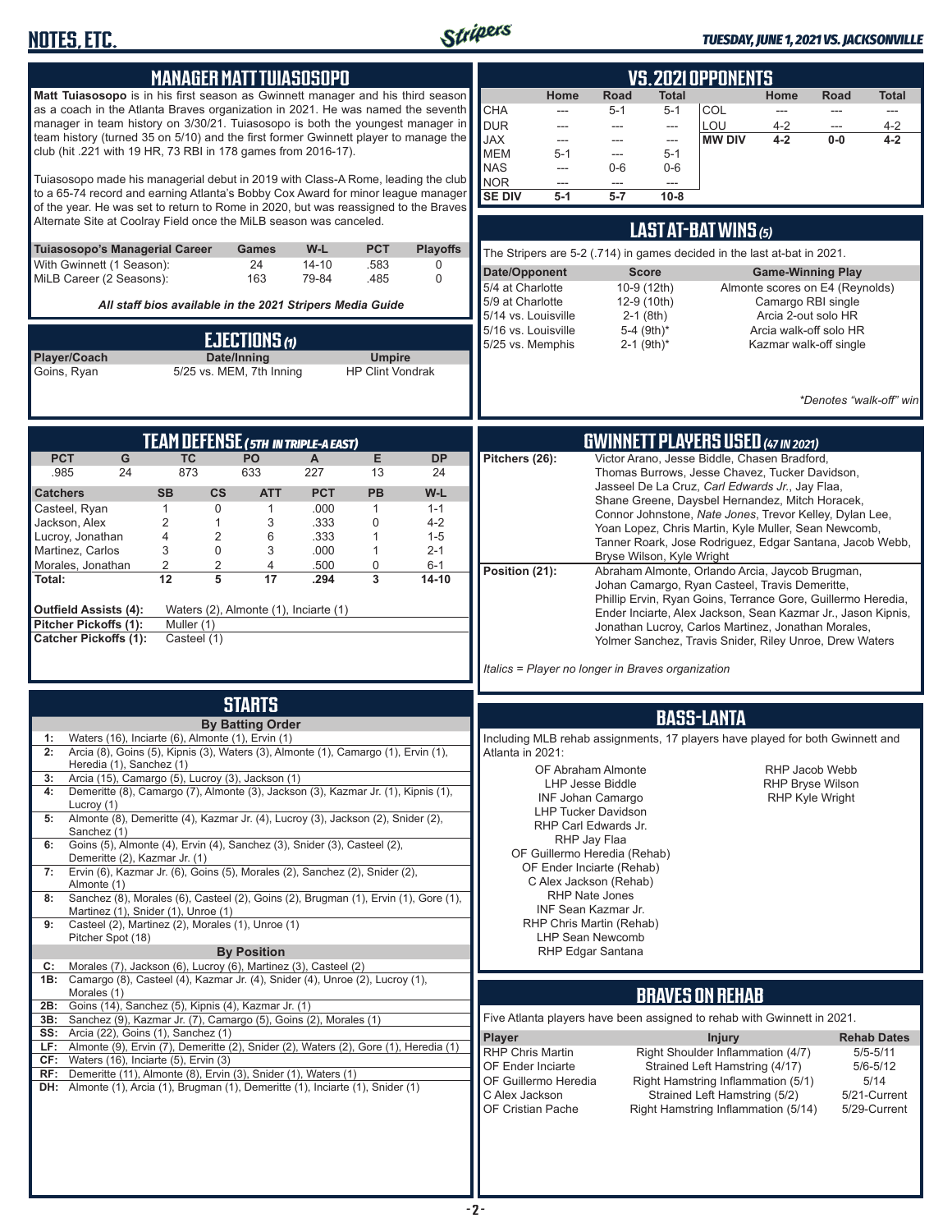

### *TUESDAY, JUNE 1, 2021 VS. JACKSONVILLE*

| <b>MANAGER MATT TUIASOSOPO</b>                                                                                                                                                                                                                                                                                                                                                                                                                                                                                                                                                                                                                                                                                                                                                                                                                                                                                                                                                                                                                                                                                                                                                                                                                                                                                                                                                                                                                                                                                                                                                                                                                                                        | <b>VS. 2021 OPPONENTS</b>                                                                                                                                                                                                                                                                                                                                                                                                                                                                                                                                                                                                                                                                                                                                                                                                                                        |  |  |  |  |
|---------------------------------------------------------------------------------------------------------------------------------------------------------------------------------------------------------------------------------------------------------------------------------------------------------------------------------------------------------------------------------------------------------------------------------------------------------------------------------------------------------------------------------------------------------------------------------------------------------------------------------------------------------------------------------------------------------------------------------------------------------------------------------------------------------------------------------------------------------------------------------------------------------------------------------------------------------------------------------------------------------------------------------------------------------------------------------------------------------------------------------------------------------------------------------------------------------------------------------------------------------------------------------------------------------------------------------------------------------------------------------------------------------------------------------------------------------------------------------------------------------------------------------------------------------------------------------------------------------------------------------------------------------------------------------------|------------------------------------------------------------------------------------------------------------------------------------------------------------------------------------------------------------------------------------------------------------------------------------------------------------------------------------------------------------------------------------------------------------------------------------------------------------------------------------------------------------------------------------------------------------------------------------------------------------------------------------------------------------------------------------------------------------------------------------------------------------------------------------------------------------------------------------------------------------------|--|--|--|--|
| Matt Tuiasosopo is in his first season as Gwinnett manager and his third season<br>as a coach in the Atlanta Braves organization in 2021. He was named the seventh<br>manager in team history on 3/30/21. Tuiasosopo is both the youngest manager in<br>team history (turned 35 on 5/10) and the first former Gwinnett player to manage the<br>club (hit .221 with 19 HR, 73 RBI in 178 games from 2016-17).<br>Tuiasosopo made his managerial debut in 2019 with Class-A Rome, leading the club<br>to a 65-74 record and earning Atlanta's Bobby Cox Award for minor league manager                                                                                                                                                                                                                                                                                                                                                                                                                                                                                                                                                                                                                                                                                                                                                                                                                                                                                                                                                                                                                                                                                                  | Home<br>Road<br><b>Total</b><br>Home<br>Road<br><b>Total</b><br><b>CHA</b><br>COL<br>$5 - 1$<br>$5 - 1$<br>$---$<br>---<br>---<br>$---$<br><b>DUR</b><br>LOU<br>$4 - 2$<br>$4 - 2$<br>$\sim$<br>---<br>---<br>$\qquad \qquad \cdots$<br><b>JAX</b><br>$4 - 2$<br><b>MW DIV</b><br>$0-0$<br>$4 - 2$<br>---<br>---<br>---<br><b>MEM</b><br>$5 - 1$<br>$5-1$<br>---<br><b>NAS</b><br>$0-6$<br>$0-6$<br>---<br>NOR<br>---<br>---<br>---<br><b>SE DIV</b><br>$5 - 7$<br>$10-8$<br>$5-1$                                                                                                                                                                                                                                                                                                                                                                               |  |  |  |  |
| of the year. He was set to return to Rome in 2020, but was reassigned to the Braves<br>Alternate Site at Coolray Field once the MiLB season was canceled.                                                                                                                                                                                                                                                                                                                                                                                                                                                                                                                                                                                                                                                                                                                                                                                                                                                                                                                                                                                                                                                                                                                                                                                                                                                                                                                                                                                                                                                                                                                             | LAST AT-BAT WINS (5)                                                                                                                                                                                                                                                                                                                                                                                                                                                                                                                                                                                                                                                                                                                                                                                                                                             |  |  |  |  |
| <b>Playoffs</b><br>Tuiasosopo's Managerial Career<br>W-L<br><b>PCT</b><br><b>Games</b><br>With Gwinnett (1 Season):<br>24<br>$14 - 10$<br>.583<br>0<br>MiLB Career (2 Seasons):<br>163<br>79-84<br>.485<br>$\Omega$                                                                                                                                                                                                                                                                                                                                                                                                                                                                                                                                                                                                                                                                                                                                                                                                                                                                                                                                                                                                                                                                                                                                                                                                                                                                                                                                                                                                                                                                   | The Stripers are 5-2 (.714) in games decided in the last at-bat in 2021.<br>Date/Opponent<br><b>Score</b><br><b>Game-Winning Play</b><br>5/4 at Charlotte<br>10-9 (12th)<br>Almonte scores on E4 (Reynolds)                                                                                                                                                                                                                                                                                                                                                                                                                                                                                                                                                                                                                                                      |  |  |  |  |
| All staff bios available in the 2021 Stripers Media Guide                                                                                                                                                                                                                                                                                                                                                                                                                                                                                                                                                                                                                                                                                                                                                                                                                                                                                                                                                                                                                                                                                                                                                                                                                                                                                                                                                                                                                                                                                                                                                                                                                             | 5/9 at Charlotte<br>12-9 (10th)<br>Camargo RBI single<br>5/14 vs. Louisville<br>$2-1$ (8th)<br>Arcia 2-out solo HR<br>5/16 vs. Louisville<br>5-4 (9th)*<br>Arcia walk-off solo HR                                                                                                                                                                                                                                                                                                                                                                                                                                                                                                                                                                                                                                                                                |  |  |  |  |
| EJECTIONS (1)<br>Player/Coach<br>Date/Inning<br><b>Umpire</b><br>5/25 vs. MEM, 7th Inning<br><b>HP Clint Vondrak</b><br>Goins, Ryan                                                                                                                                                                                                                                                                                                                                                                                                                                                                                                                                                                                                                                                                                                                                                                                                                                                                                                                                                                                                                                                                                                                                                                                                                                                                                                                                                                                                                                                                                                                                                   | $2-1$ (9th)*<br>5/25 vs. Memphis<br>Kazmar walk-off single<br>*Denotes "walk-off" win                                                                                                                                                                                                                                                                                                                                                                                                                                                                                                                                                                                                                                                                                                                                                                            |  |  |  |  |
| TEAM DEFENSE (5TH IN TRIPLE-AEAST)                                                                                                                                                                                                                                                                                                                                                                                                                                                                                                                                                                                                                                                                                                                                                                                                                                                                                                                                                                                                                                                                                                                                                                                                                                                                                                                                                                                                                                                                                                                                                                                                                                                    | <b>GWINNETT PLAYERS USED (47 IN 2021)</b>                                                                                                                                                                                                                                                                                                                                                                                                                                                                                                                                                                                                                                                                                                                                                                                                                        |  |  |  |  |
| <b>PCT</b><br>E<br>G<br><b>TC</b><br>PO<br><b>DP</b><br>A<br>873<br>.985<br>24<br>633<br>227<br>13<br>24<br>W-L<br><b>SB</b><br>CS<br><b>ATT</b><br><b>PCT</b><br><b>PB</b><br><b>Catchers</b><br>Casteel, Ryan<br>$\mathbf 0$<br>.000<br>$\mathbf{1}$<br>$\mathbf{1}$<br>$1 - 1$<br>$\mathbf{1}$<br>$\sqrt{2}$<br>3<br>.333<br>0<br>Jackson, Alex<br>$\mathbf{1}$<br>$4 - 2$<br>$\overline{\mathcal{A}}$<br>$\overline{2}$<br>Lucroy, Jonathan<br>.333<br>6<br>$\mathbf{1}$<br>$1 - 5$<br>3<br>$\mathbf 0$<br>Martinez, Carlos<br>3<br>.000<br>$\mathbf{1}$<br>$2 - 1$<br>$\sqrt{2}$<br>$\overline{c}$<br>4<br>.500<br>0<br>Morales, Jonathan<br>$6 - 1$<br>$\overline{5}$<br>$\overline{17}$<br>$\overline{3}$<br>12<br>Total:<br>.294<br>$14 - 10$<br>Waters (2), Almonte (1), Inciarte (1)<br>Outfield Assists (4):<br>Pitcher Pickoffs (1):<br>Muller (1)<br><b>Catcher Pickoffs (1):</b><br>Casteel (1)                                                                                                                                                                                                                                                                                                                                                                                                                                                                                                                                                                                                                                                                                                                                                                         | Victor Arano, Jesse Biddle, Chasen Bradford,<br>Pitchers (26):<br>Thomas Burrows, Jesse Chavez, Tucker Davidson,<br>Jasseel De La Cruz, Carl Edwards Jr., Jay Flaa,<br>Shane Greene, Daysbel Hernandez, Mitch Horacek,<br>Connor Johnstone, Nate Jones, Trevor Kelley, Dylan Lee,<br>Yoan Lopez, Chris Martin, Kyle Muller, Sean Newcomb,<br>Tanner Roark, Jose Rodriguez, Edgar Santana, Jacob Webb,<br>Bryse Wilson, Kyle Wright<br>Position (21):<br>Abraham Almonte, Orlando Arcia, Jaycob Brugman,<br>Johan Camargo, Ryan Casteel, Travis Demeritte,<br>Phillip Ervin, Ryan Goins, Terrance Gore, Guillermo Heredia,<br>Ender Inciarte, Alex Jackson, Sean Kazmar Jr., Jason Kipnis,<br>Jonathan Lucroy, Carlos Martinez, Jonathan Morales,<br>Yolmer Sanchez, Travis Snider, Riley Unroe, Drew Waters<br>Italics = Player no longer in Braves organization |  |  |  |  |
| <b>STARTS</b>                                                                                                                                                                                                                                                                                                                                                                                                                                                                                                                                                                                                                                                                                                                                                                                                                                                                                                                                                                                                                                                                                                                                                                                                                                                                                                                                                                                                                                                                                                                                                                                                                                                                         |                                                                                                                                                                                                                                                                                                                                                                                                                                                                                                                                                                                                                                                                                                                                                                                                                                                                  |  |  |  |  |
| <b>BASS-LANTA</b><br><b>By Batting Order</b><br>Waters (16), Inciarte (6), Almonte (1), Ervin (1)<br>1:<br>Including MLB rehab assignments, 17 players have played for both Gwinnett and<br>Arcia (8), Goins (5), Kipnis (3), Waters (3), Almonte (1), Camargo (1), Ervin (1),<br>Atlanta in 2021:<br>Heredia (1), Sanchez (1)<br>OF Abraham Almonte<br>RHP Jacob Webb<br>Arcia (15), Camargo (5), Lucroy (3), Jackson (1)<br>3:<br>LHP Jesse Biddle<br><b>RHP Bryse Wilson</b><br>Demeritte (8), Camargo (7), Almonte (3), Jackson (3), Kazmar Jr. (1), Kipnis (1),<br>4:<br><b>INF Johan Camargo</b><br><b>RHP Kyle Wright</b><br>Lucroy (1)<br><b>LHP Tucker Davidson</b><br>Almonte (8), Demeritte (4), Kazmar Jr. (4), Lucroy (3), Jackson (2), Snider (2),<br>5:<br>RHP Carl Edwards Jr.<br>Sanchez (1)<br>RHP Jay Flaa<br>Goins (5), Almonte (4), Ervin (4), Sanchez (3), Snider (3), Casteel (2),<br>6:<br>OF Guillermo Heredia (Rehab)<br>Demeritte (2), Kazmar Jr. (1)<br>OF Ender Inciarte (Rehab)<br>Ervin (6), Kazmar Jr. (6), Goins (5), Morales (2), Sanchez (2), Snider (2),<br>7:<br>C Alex Jackson (Rehab)<br>Almonte (1)<br><b>RHP Nate Jones</b><br>Sanchez (8), Morales (6), Casteel (2), Goins (2), Brugman (1), Ervin (1), Gore (1),<br>8:<br>INF Sean Kazmar Jr.<br>Martinez (1), Snider (1), Unroe (1)<br>RHP Chris Martin (Rehab)<br>Casteel (2), Martinez (2), Morales (1), Unroe (1)<br>9:<br><b>LHP Sean Newcomb</b><br>Pitcher Spot (18)<br><b>By Position</b><br><b>RHP Edgar Santana</b><br>Morales (7), Jackson (6), Lucroy (6), Martinez (3), Casteel (2)<br>C:<br>1B: Camargo (8), Casteel (4), Kazmar Jr. (4), Snider (4), Unroe (2), Lucroy (1), |                                                                                                                                                                                                                                                                                                                                                                                                                                                                                                                                                                                                                                                                                                                                                                                                                                                                  |  |  |  |  |
| Morales (1)<br>2B: Goins (14), Sanchez (5), Kipnis (4), Kazmar Jr. (1)<br>3B: Sanchez (9), Kazmar Jr. (7), Camargo (5), Goins (2), Morales (1)<br><b>SS:</b> Arcia (22), Goins (1), Sanchez (1)<br>LF: Almonte (9), Ervin (7), Demeritte (2), Snider (2), Waters (2), Gore (1), Heredia (1)<br>$CF:$ Waters (16), Inciarte (5), Ervin (3)<br>RF: Demeritte (11), Almonte (8), Ervin (3), Snider (1), Waters (1)<br>DH: Almonte (1), Arcia (1), Brugman (1), Demeritte (1), Inciarte (1), Snider (1)                                                                                                                                                                                                                                                                                                                                                                                                                                                                                                                                                                                                                                                                                                                                                                                                                                                                                                                                                                                                                                                                                                                                                                                   | <b>BRAVES ON REHAB</b><br>Five Atlanta players have been assigned to rehab with Gwinnett in 2021.<br><b>Player</b><br><b>Rehab Dates</b><br><b>Injury</b><br><b>RHP Chris Martin</b><br>Right Shoulder Inflammation (4/7)<br>$5/5 - 5/11$<br>Strained Left Hamstring (4/17)<br>OF Ender Inciarte<br>$5/6 - 5/12$<br>5/14<br>OF Guillermo Heredia<br>Right Hamstring Inflammation (5/1)<br>C Alex Jackson<br>5/21-Current<br>Strained Left Hamstring (5/2)<br>5/29-Current<br>OF Cristian Pache<br>Right Hamstring Inflammation (5/14)                                                                                                                                                                                                                                                                                                                            |  |  |  |  |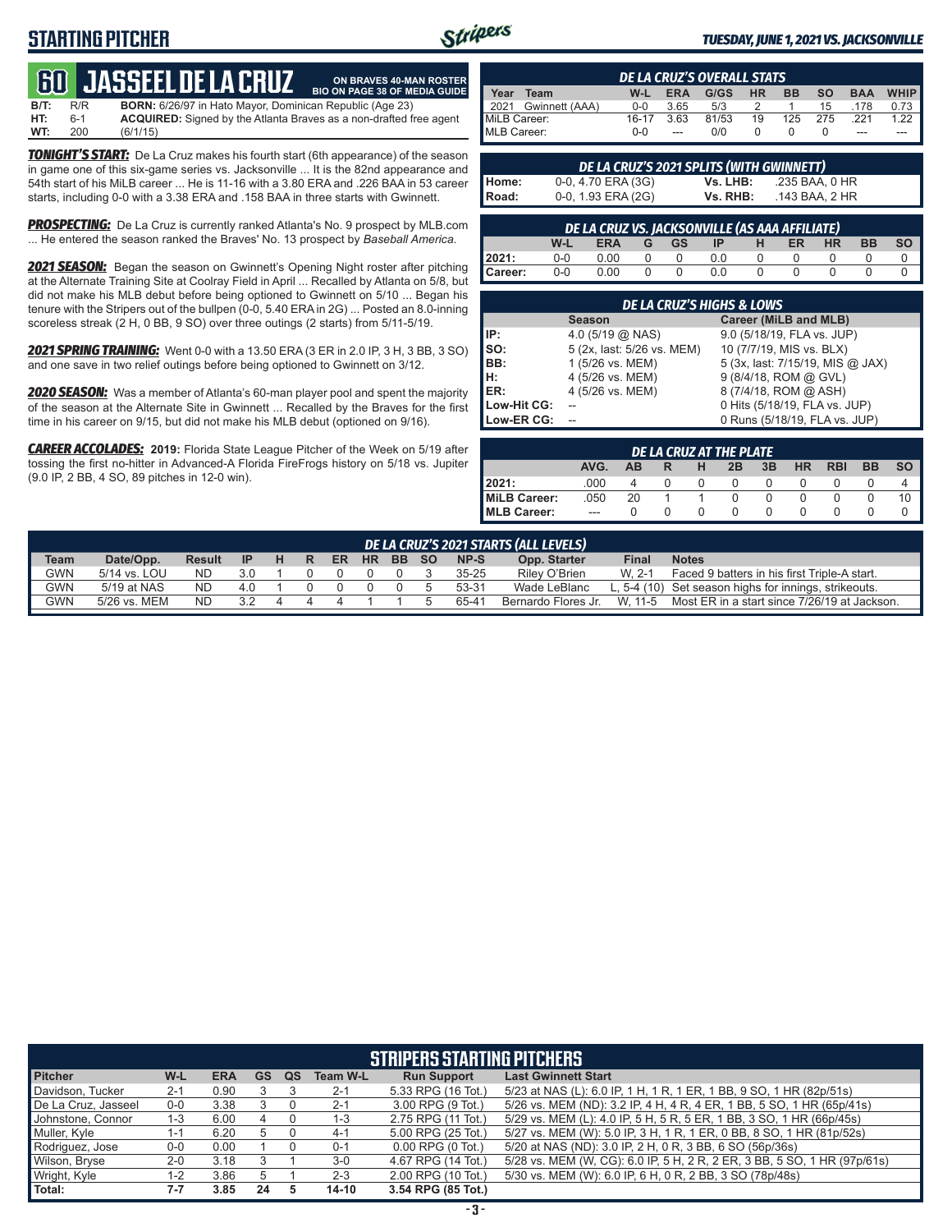# **STARTING PITCHER**



**ON BRAVES 40-MAN ROSTER**

#### *TUESDAY, JUNE 1, 2021 VS. JACKSONVILLE*

# **60****JASSEEL DE LA CRUZ**

**B/T:** R/R **BORN:** 6/26/97 in Hato Mayor, Dominican Republic (Age 23)<br>**HT:** 6-1 **ACQUIRED:** Signed by the Atlanta Braves as a non-drafted f **HT:** 6-1 **ACQUIRED:** Signed by the Atlanta Braves as a non-drafted free agent **WT:** 200 (6/1/15) **BIO ON PAGE 38 OF MEDIA GUIDE**

*TONIGHT'S START:* De La Cruz makes his fourth start (6th appearance) of the season in game one of this six-game series vs. Jacksonville ... It is the 82nd appearance and 54th start of his MiLB career ... He is 11-16 with a 3.80 ERA and .226 BAA in 53 career starts, including 0-0 with a 3.38 ERA and .158 BAA in three starts with Gwinnett.

**PROSPECTING:** De La Cruz is currently ranked Atlanta's No. 9 prospect by MLB.com ... He entered the season ranked the Braves' No. 13 prospect by *Baseball America*.

**2021 SEASON:** Began the season on Gwinnett's Opening Night roster after pitching at the Alternate Training Site at Coolray Field in April ... Recalled by Atlanta on 5/8, but did not make his MLB debut before being optioned to Gwinnett on 5/10 ... Began his tenure with the Stripers out of the bullpen (0-0, 5.40 ERA in 2G) ... Posted an 8.0-inning scoreless streak (2 H, 0 BB, 9 SO) over three outings (2 starts) from 5/11-5/19.

*2021 SPRING TRAINING:* Went 0-0 with a 13.50 ERA (3 ER in 2.0 IP, 3 H, 3 BB, 3 SO) and one save in two relief outings before being optioned to Gwinnett on 3/12.

*2020 SEASON:* Was a member of Atlanta's 60-man player pool and spent the majority of the season at the Alternate Site in Gwinnett ... Recalled by the Braves for the first time in his career on 9/15, but did not make his MLB debut (optioned on 9/16).

*CAREER ACCOLADES:* **2019:** Florida State League Pitcher of the Week on 5/19 after tossing the first no-hitter in Advanced-A Florida FireFrogs history on 5/18 vs. Jupiter (9.0 IP, 2 BB, 4 SO, 89 pitches in 12-0 win).

| <b>DE LA CRUZ'S OVERALL STATS</b>                                  |                |         |            |      |           |           |           |            |                       |
|--------------------------------------------------------------------|----------------|---------|------------|------|-----------|-----------|-----------|------------|-----------------------|
| Year                                                               | Team           | $W-L$   | <b>ERA</b> | G/GS | <b>HR</b> | <b>BB</b> | <b>SO</b> | <b>BAA</b> | <b>WHIP</b>           |
| 12021                                                              | Gwinnett (AAA) | $0 - 0$ | 3.65       | 5/3  |           |           | 15        | .178       | $0.73$ $\blacksquare$ |
| MiLB Career:<br>81/53<br>16-17<br>19<br>125<br>3.63<br>.221<br>275 |                |         |            |      | 1.22      |           |           |            |                       |
| MLB Career:                                                        |                | $0 - 0$ | ---        | 0/0  |           |           |           | ---        |                       |

|              | DE LA CRUZ'S 2021 SPLITS (WITH GWINNETT) |          |                |
|--------------|------------------------------------------|----------|----------------|
| Home:        | 0-0, 4.70 ERA (3G)                       | Vs. LHB: | .235 BAA. 0 HR |
| <b>Road:</b> | 0-0, 1.93 ERA (2G)                       | Vs. RHB: | .143 BAA. 2 HR |

|         | DE LA CRUZ VS. JACKSONVILLE (AS AAA AFFILIATE)                                               |      |  |        |     |  |  |  |  |  |  |  |  |  |  |
|---------|----------------------------------------------------------------------------------------------|------|--|--------|-----|--|--|--|--|--|--|--|--|--|--|
|         | <b>SO</b><br><b>BB</b><br><b>HR</b><br><b>ER</b><br>W-L<br><b>ERA</b><br>GGS GS<br>H<br>- IP |      |  |        |     |  |  |  |  |  |  |  |  |  |  |
| 2021:   | $0-0$                                                                                        | 0.00 |  | - 0    | 0.0 |  |  |  |  |  |  |  |  |  |  |
| Career: | $0-0$                                                                                        | 0.00 |  | $\cap$ | 0 Q |  |  |  |  |  |  |  |  |  |  |

|             | <b>DE LA CRUZ'S HIGHS &amp; LOWS</b> |                                  |  |  |  |  |  |  |  |  |  |  |
|-------------|--------------------------------------|----------------------------------|--|--|--|--|--|--|--|--|--|--|
|             | <b>Season</b>                        | Career (MiLB and MLB)            |  |  |  |  |  |  |  |  |  |  |
| IP:         | 4.0 $(5/19 \text{ @ NASA})$          | 9.0 (5/18/19, FLA vs. JUP)       |  |  |  |  |  |  |  |  |  |  |
| SO:<br>BB:  | 5 (2x, last: 5/26 vs. MEM)           | 10 (7/7/19, MIS vs. BLX)         |  |  |  |  |  |  |  |  |  |  |
|             | 1 (5/26 vs. MEM)                     | 5 (3x, last: 7/15/19, MIS @ JAX) |  |  |  |  |  |  |  |  |  |  |
| Iн.         | 4 (5/26 vs. MEM)                     | 9 (8/4/18, ROM @ GVL)            |  |  |  |  |  |  |  |  |  |  |
| ER:         | 4 (5/26 vs. MEM)                     | 8 (7/4/18, ROM @ ASH)            |  |  |  |  |  |  |  |  |  |  |
| Low-Hit CG: |                                      | 0 Hits (5/18/19, FLA vs. JUP)    |  |  |  |  |  |  |  |  |  |  |
| Low-ER CG:  |                                      | 0 Runs (5/18/19, FLA vs. JUP)    |  |  |  |  |  |  |  |  |  |  |

| DE LA CRUZ AT THE PLATE |                                                                                       |    |  |          |  |  |  |  |  |    |  |  |  |  |
|-------------------------|---------------------------------------------------------------------------------------|----|--|----------|--|--|--|--|--|----|--|--|--|--|
|                         | AVG.<br><b>SO</b><br>3B<br><b>RBI</b><br><b>BB</b><br><b>HR</b><br>2B<br>н<br>AВ<br>R |    |  |          |  |  |  |  |  |    |  |  |  |  |
| 12021:                  | .000                                                                                  |    |  | $\Omega$ |  |  |  |  |  |    |  |  |  |  |
| MiLB Career:            | .050                                                                                  | 20 |  |          |  |  |  |  |  | 10 |  |  |  |  |
| MLB Career:             | $- - -$                                                                               |    |  |          |  |  |  |  |  |    |  |  |  |  |

| <b>Team</b> | NP-S<br>Date/Opp.<br><b>HR</b><br>.so<br>Opp. Starter<br><b>Final</b><br><b>Notes</b><br>BB.<br><b>Result</b><br><b>IP</b><br>ER |           |     |  |  |  |  |  |  |           |                     |         |                                                       |  |
|-------------|----------------------------------------------------------------------------------------------------------------------------------|-----------|-----|--|--|--|--|--|--|-----------|---------------------|---------|-------------------------------------------------------|--|
| <b>GWN</b>  | 5/14 vs. LOU                                                                                                                     | <b>ND</b> | 3.0 |  |  |  |  |  |  | $35 - 25$ | Riley O'Brien       | $W$ 2-1 | Faced 9 batters in his first Triple-A start.          |  |
| <b>GWN</b>  | 5/19 at NAS                                                                                                                      | <b>ND</b> | 4.0 |  |  |  |  |  |  | 53-31     | Wade LeBlanc        |         | L, 5-4 (10) Set season highs for innings, strikeouts. |  |
| <b>GWN</b>  | 5/26 vs. MEM                                                                                                                     | <b>ND</b> | 3.2 |  |  |  |  |  |  | 65-41     | Bernardo Flores Jr. | W. 11-5 | Most ER in a start since 7/26/19 at Jackson.          |  |

| <b>STRIPERS STARTING PITCHERS</b> |         |            |    |    |                 |                       |                                                                          |  |  |  |  |  |
|-----------------------------------|---------|------------|----|----|-----------------|-----------------------|--------------------------------------------------------------------------|--|--|--|--|--|
| <b>Pitcher</b>                    | W-L     | <b>ERA</b> | GS | QS | <b>Team W-L</b> | <b>Run Support</b>    | <b>Last Gwinnett Start</b>                                               |  |  |  |  |  |
| Davidson, Tucker                  | $2 - 1$ | 0.90       |    |    | $2 - 1$         | 5.33 RPG (16 Tot.)    | 5/23 at NAS (L): 6.0 IP, 1 H, 1 R, 1 ER, 1 BB, 9 SO, 1 HR (82p/51s)      |  |  |  |  |  |
| De La Cruz, Jasseel               | $0 - 0$ | 3.38       |    |    | $2 - 1$         | 3.00 RPG (9 Tot.)     | 5/26 vs. MEM (ND): 3.2 IP, 4 H, 4 R, 4 ER, 1 BB, 5 SO, 1 HR (65p/41s)    |  |  |  |  |  |
| Johnstone, Connor                 | 1-3     | 6.00       |    |    | $1 - 3$         | 2.75 RPG (11 Tot.)    | 5/29 vs. MEM (L): 4.0 IP, 5 H, 5 R, 5 ER, 1 BB, 3 SO, 1 HR (66p/45s)     |  |  |  |  |  |
| Muller, Kyle                      | 1-1     | 6.20       | 5  |    | 4-1             | 5.00 RPG (25 Tot.)    | 5/27 vs. MEM (W): 5.0 IP, 3 H, 1 R, 1 ER, 0 BB, 8 SO, 1 HR (81p/52s)     |  |  |  |  |  |
| Rodriguez, Jose                   | $0-0$   | 0.00       |    |    | $0 - 1$         | $0.00$ RPG $(0$ Tot.) | 5/20 at NAS (ND): 3.0 IP, 2 H, 0 R, 3 BB, 6 SO (56p/36s)                 |  |  |  |  |  |
| Wilson, Bryse                     | $2 - 0$ | 3.18       |    |    | $3-0$           | 4.67 RPG (14 Tot.)    | 5/28 vs. MEM (W, CG): 6.0 IP, 5 H, 2 R, 2 ER, 3 BB, 5 SO, 1 HR (97p/61s) |  |  |  |  |  |
| Wright, Kyle                      | 1-2     | 3.86       | 5  |    | $2 - 3$         | 2.00 RPG (10 Tot.)    | 5/30 vs. MEM (W): 6.0 IP, 6 H, 0 R, 2 BB, 3 SO (78p/48s)                 |  |  |  |  |  |
| Total:                            | $7 - 7$ | 3.85       | 24 |    | $14 - 10$       | 3.54 RPG (85 Tot.)    |                                                                          |  |  |  |  |  |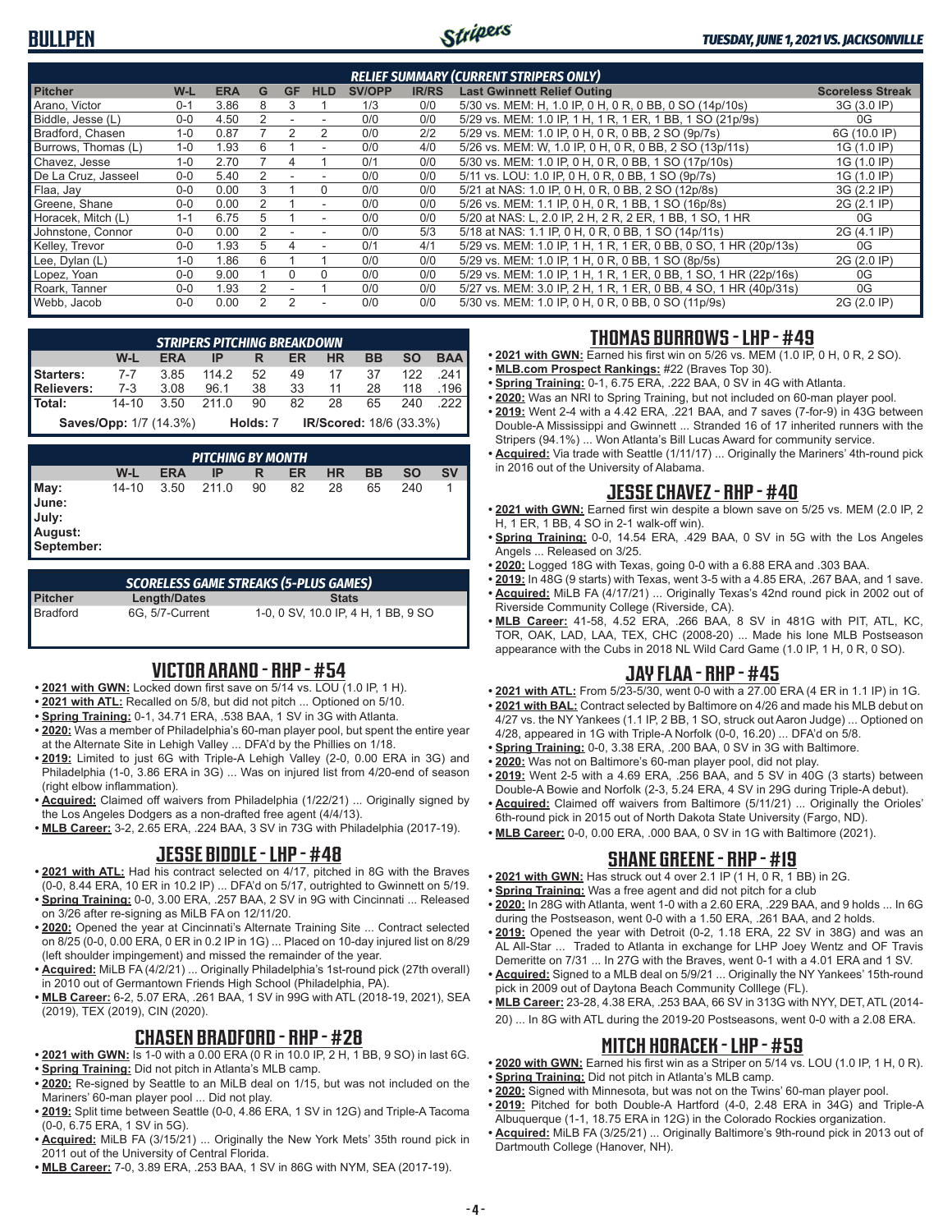

| <b>RELIEF SUMMARY (CURRENT STRIPERS ONLY)</b> |         |            |                |               |                          |               |              |                                                                  |                         |  |  |  |  |
|-----------------------------------------------|---------|------------|----------------|---------------|--------------------------|---------------|--------------|------------------------------------------------------------------|-------------------------|--|--|--|--|
| <b>Pitcher</b>                                | W-L     | <b>ERA</b> | G              | <b>GF</b>     | <b>HLD</b>               | <b>SV/OPP</b> | <b>IR/RS</b> | <b>Last Gwinnett Relief Outing</b>                               | <b>Scoreless Streak</b> |  |  |  |  |
| Arano, Victor                                 | $0 - 1$ | 3.86       | 8              | З             |                          | 1/3           | 0/0          | 5/30 vs. MEM: H, 1.0 IP, 0 H, 0 R, 0 BB, 0 SO (14p/10s)          | 3G (3.0 IP)             |  |  |  |  |
| Biddle, Jesse (L)                             | 0-0     | 4.50       | 2              | ۰             |                          | 0/0           | 0/0          | 5/29 vs. MEM: 1.0 IP, 1 H, 1 R, 1 ER, 1 BB, 1 SO (21p/9s)        | 0G                      |  |  |  |  |
| Bradford, Chasen                              | $1 - 0$ | 0.87       |                | 2             | 2                        | 0/0           | 2/2          | 5/29 vs. MEM: 1.0 IP, 0 H, 0 R, 0 BB, 2 SO (9p/7s)               | 6G (10.0 IP)            |  |  |  |  |
| Burrows, Thomas (L)                           | $1 - 0$ | 1.93       | 6              |               | $\overline{\phantom{a}}$ | 0/0           | 4/0          | 5/26 vs. MEM: W, 1.0 IP, 0 H, 0 R, 0 BB, 2 SO (13p/11s)          | 1G (1.0 IP)             |  |  |  |  |
| Chavez, Jesse                                 | $1 - 0$ | 2.70       |                |               |                          | 0/1           | 0/0          | 5/30 vs. MEM: 1.0 IP, 0 H, 0 R, 0 BB, 1 SO (17p/10s)             | 1G (1.0 IP)             |  |  |  |  |
| De La Cruz, Jasseel                           | $0 - 0$ | 5.40       | 2              |               |                          | 0/0           | 0/0          | 5/11 vs. LOU: 1.0 IP, 0 H, 0 R, 0 BB, 1 SO (9p/7s)               | 1G (1.0 IP)             |  |  |  |  |
| Flaa, Jay                                     | $0 - 0$ | 0.00       | 3              |               | 0                        | 0/0           | 0/0          | 5/21 at NAS: 1.0 IP, 0 H, 0 R, 0 BB, 2 SO (12p/8s)               | 3G (2.2 IP)             |  |  |  |  |
| Greene, Shane                                 | $0 - 0$ | 0.00       | $\mathfrak{p}$ |               |                          | 0/0           | 0/0          | 5/26 vs. MEM: 1.1 IP, 0 H, 0 R, 1 BB, 1 SO (16p/8s)              | 2G (2.1 IP)             |  |  |  |  |
| Horacek, Mitch (L)                            | $1 - 1$ | 6.75       | 5              |               |                          | 0/0           | 0/0          | 5/20 at NAS: L, 2.0 IP, 2 H, 2 R, 2 ER, 1 BB, 1 SO, 1 HR         | 0G                      |  |  |  |  |
| Johnstone, Connor                             | $0 - 0$ | 0.00       |                |               |                          | 0/0           | 5/3          | 5/18 at NAS: 1.1 IP, 0 H, 0 R, 0 BB, 1 SO (14p/11s)              | 2G (4.1 IP)             |  |  |  |  |
| Kelley, Trevor                                | $0 - 0$ | 1.93       | 5              |               |                          | 0/1           | 4/1          | 5/29 vs. MEM: 1.0 IP, 1 H, 1 R, 1 ER, 0 BB, 0 SO, 1 HR (20p/13s) | 0G                      |  |  |  |  |
| Lee, Dylan (L)                                | $1 - 0$ | 1.86       | 6              |               |                          | 0/0           | 0/0          | 5/29 vs. MEM: 1.0 IP, 1 H, 0 R, 0 BB, 1 SO (8p/5s)               | 2G (2.0 IP)             |  |  |  |  |
| Lopez, Yoan                                   | $0 - 0$ | 9.00       |                | 0             | $\Omega$                 | 0/0           | 0/0          | 5/29 vs. MEM: 1.0 IP, 1 H, 1 R, 1 ER, 0 BB, 1 SO, 1 HR (22p/16s) | 0G                      |  |  |  |  |
| Roark. Tanner                                 | $0 - 0$ | 1.93       | 2              |               |                          | 0/0           | 0/0          | 5/27 vs. MEM: 3.0 IP, 2 H, 1 R, 1 ER, 0 BB, 4 SO, 1 HR (40p/31s) | 0G                      |  |  |  |  |
| Webb, Jacob                                   | $0 - 0$ | 0.00       | $\mathcal{P}$  | $\mathcal{P}$ |                          | 0/0           | 0/0          | 5/30 vs. MEM: 1.0 IP, 0 H, 0 R, 0 BB, 0 SO (11p/9s)              | 2G (2.0 IP)             |  |  |  |  |

|                     | <b>STRIPERS PITCHING BREAKDOWN</b>                                                             |      |       |          |    |                                |      |     |      |  |  |  |  |
|---------------------|------------------------------------------------------------------------------------------------|------|-------|----------|----|--------------------------------|------|-----|------|--|--|--|--|
|                     | <b>BAA</b><br><b>BB</b><br><b>SO</b><br>W-L<br><b>HR</b><br><b>ERA</b><br><b>ER</b><br>IP<br>R |      |       |          |    |                                |      |     |      |  |  |  |  |
| Starters:           | 7-7                                                                                            | 3.85 | 114.2 | 52       | 49 | 17                             | - 37 | 122 | .241 |  |  |  |  |
| Relievers: 7-3 3.08 |                                                                                                |      | 96.1  | 38       |    | 33 11 28 118                   |      |     | .196 |  |  |  |  |
| l Total:            | $14 - 10$                                                                                      | 3.50 | 211.0 | 90       | 82 | 28                             | 65   | 240 | .222 |  |  |  |  |
|                     | <b>Saves/Opp: 1/7 (14.3%)</b>                                                                  |      |       | Holds: 7 |    | <b>IR/Scored: 18/6 (33.3%)</b> |      |     |      |  |  |  |  |

|                                                 | <b>PITCHING BY MONTH</b> |            |       |    |    |           |           |           |           |  |  |  |  |
|-------------------------------------------------|--------------------------|------------|-------|----|----|-----------|-----------|-----------|-----------|--|--|--|--|
|                                                 | W-L                      | <b>ERA</b> | ΙP    | R  | ER | <b>HR</b> | <b>BB</b> | <b>SO</b> | <b>SV</b> |  |  |  |  |
| May:<br>June:<br>July:<br>August:<br>September: | 14-10                    | 3.50       | 211.0 | 90 | 82 | 28        | 65        | 240       |           |  |  |  |  |

| <b>SCORELESS GAME STREAKS (5-PLUS GAMES)</b> |                 |                                     |  |  |  |  |  |  |  |  |  |
|----------------------------------------------|-----------------|-------------------------------------|--|--|--|--|--|--|--|--|--|
| <b>Pitcher</b>                               | Length/Dates    | <b>Stats</b>                        |  |  |  |  |  |  |  |  |  |
| Bradford                                     | 6G. 5/7-Current | 1-0, 0 SV, 10.0 IP, 4 H, 1 BB, 9 SO |  |  |  |  |  |  |  |  |  |

## **VICTOR ARANO - RHP - #54**

- **• 2021 with GWN:** Locked down first save on 5/14 vs. LOU (1.0 IP, 1 H).
- **• 2021 with ATL:** Recalled on 5/8, but did not pitch ... Optioned on 5/10.
- **• Spring Training:** 0-1, 34.71 ERA, .538 BAA, 1 SV in 3G with Atlanta.
- **• 2020:** Was a member of Philadelphia's 60-man player pool, but spent the entire year at the Alternate Site in Lehigh Valley ... DFA'd by the Phillies on 1/18.
- **• 2019:** Limited to just 6G with Triple-A Lehigh Valley (2-0, 0.00 ERA in 3G) and Philadelphia (1-0, 3.86 ERA in 3G) ... Was on injured list from 4/20-end of season (right elbow inflammation).
- **• Acquired:** Claimed off waivers from Philadelphia (1/22/21) ... Originally signed by the Los Angeles Dodgers as a non-drafted free agent (4/4/13).
- **• MLB Career:** 3-2, 2.65 ERA, .224 BAA, 3 SV in 73G with Philadelphia (2017-19).

### **JESSE BIDDLE - LHP - #48**

- **• 2021 with ATL:** Had his contract selected on 4/17, pitched in 8G with the Braves (0-0, 8.44 ERA, 10 ER in 10.2 IP) ... DFA'd on 5/17, outrighted to Gwinnett on 5/19.
- **Spring Training:** 0-0, 3.00 ERA, .257 BAA, 2 SV in 9G with Cincinnati ... Released on 3/26 after re-signing as MiLB FA on 12/11/20.
- **• 2020:** Opened the year at Cincinnati's Alternate Training Site ... Contract selected on 8/25 (0-0, 0.00 ERA, 0 ER in 0.2 IP in 1G) ... Placed on 10-day injured list on 8/29 (left shoulder impingement) and missed the remainder of the year.
- **• Acquired:** MiLB FA (4/2/21) ... Originally Philadelphia's 1st-round pick (27th overall) in 2010 out of Germantown Friends High School (Philadelphia, PA).
- **• MLB Career:** 6-2, 5.07 ERA, .261 BAA, 1 SV in 99G with ATL (2018-19, 2021), SEA (2019), TEX (2019), CIN (2020).

## **CHASEN BRADFORD - RHP - #28**

- **• 2021 with GWN:** Is 1-0 with a 0.00 ERA (0 R in 10.0 IP, 2 H, 1 BB, 9 SO) in last 6G.
- **• Spring Training:** Did not pitch in Atlanta's MLB camp. **• 2020:** Re-signed by Seattle to an MiLB deal on 1/15, but was not included on the
- Mariners' 60-man player pool ... Did not play.
- **• 2019:** Split time between Seattle (0-0, 4.86 ERA, 1 SV in 12G) and Triple-A Tacoma (0-0, 6.75 ERA, 1 SV in 5G).
- **• Acquired:** MiLB FA (3/15/21) ... Originally the New York Mets' 35th round pick in 2011 out of the University of Central Florida.
- **• MLB Career:** 7-0, 3.89 ERA, .253 BAA, 1 SV in 86G with NYM, SEA (2017-19).

#### **THOMAS BURROWS - LHP - #49**

- **• 2021 with GWN:** Earned his first win on 5/26 vs. MEM (1.0 IP, 0 H, 0 R, 2 SO).
- **• MLB.com Prospect Rankings:** #22 (Braves Top 30).
- **• Spring Training:** 0-1, 6.75 ERA, .222 BAA, 0 SV in 4G with Atlanta.
- **• 2020:** Was an NRI to Spring Training, but not included on 60-man player pool.
- **• 2019:** Went 2-4 with a 4.42 ERA, .221 BAA, and 7 saves (7-for-9) in 43G between Double-A Mississippi and Gwinnett ... Stranded 16 of 17 inherited runners with the Stripers (94.1%) ... Won Atlanta's Bill Lucas Award for community service.
- **• Acquired:** Via trade with Seattle (1/11/17) ... Originally the Mariners' 4th-round pick in 2016 out of the University of Alabama.

### **JESSE CHAVEZ - RHP - #40**

- **• 2021 with GWN:** Earned first win despite a blown save on 5/25 vs. MEM (2.0 IP, 2 H, 1 ER, 1 BB, 4 SO in 2-1 walk-off win).
- **• Spring Training:** 0-0, 14.54 ERA, .429 BAA, 0 SV in 5G with the Los Angeles Angels ... Released on 3/25.
- **• 2020:** Logged 18G with Texas, going 0-0 with a 6.88 ERA and .303 BAA.
- **• 2019:** In 48G (9 starts) with Texas, went 3-5 with a 4.85 ERA, .267 BAA, and 1 save. **• Acquired:** MiLB FA (4/17/21) ... Originally Texas's 42nd round pick in 2002 out of Riverside Community College (Riverside, CA).
- **• MLB Career:** 41-58, 4.52 ERA, .266 BAA, 8 SV in 481G with PIT, ATL, KC, TOR, OAK, LAD, LAA, TEX, CHC (2008-20) ... Made his lone MLB Postseason appearance with the Cubs in 2018 NL Wild Card Game (1.0 IP, 1 H, 0 R, 0 SO).

## **JAY FLAA - RHP - #45**

- **• 2021 with ATL:** From 5/23-5/30, went 0-0 with a 27.00 ERA (4 ER in 1.1 IP) in 1G.
- **• 2021 with BAL:** Contract selected by Baltimore on 4/26 and made his MLB debut on 4/27 vs. the NY Yankees (1.1 IP, 2 BB, 1 SO, struck out Aaron Judge) ... Optioned on 4/28, appeared in 1G with Triple-A Norfolk (0-0, 16.20) ... DFA'd on 5/8.
- **• Spring Training:** 0-0, 3.38 ERA, .200 BAA, 0 SV in 3G with Baltimore.
- **• 2020:** Was not on Baltimore's 60-man player pool, did not play.
- **• 2019:** Went 2-5 with a 4.69 ERA, .256 BAA, and 5 SV in 40G (3 starts) between Double-A Bowie and Norfolk (2-3, 5.24 ERA, 4 SV in 29G during Triple-A debut).
- **• Acquired:** Claimed off waivers from Baltimore (5/11/21) ... Originally the Orioles' 6th-round pick in 2015 out of North Dakota State University (Fargo, ND).
- **• MLB Career:** 0-0, 0.00 ERA, .000 BAA, 0 SV in 1G with Baltimore (2021).

## **SHANE GREENE - RHP - #19**

- **• 2021 with GWN:** Has struck out 4 over 2.1 IP (1 H, 0 R, 1 BB) in 2G.
- **• Spring Training:** Was a free agent and did not pitch for a club
- **• 2020:** In 28G with Atlanta, went 1-0 with a 2.60 ERA, .229 BAA, and 9 holds ... In 6G during the Postseason, went 0-0 with a 1.50 ERA, .261 BAA, and 2 holds.
- **• 2019:** Opened the year with Detroit (0-2, 1.18 ERA, 22 SV in 38G) and was an AL All-Star ... Traded to Atlanta in exchange for LHP Joey Wentz and OF Travis Demeritte on 7/31 ... In 27G with the Braves, went 0-1 with a 4.01 ERA and 1 SV.
- **• Acquired:** Signed to a MLB deal on 5/9/21 ... Originally the NY Yankees' 15th-round pick in 2009 out of Daytona Beach Community Colllege (FL).
- **• MLB Career:** 23-28, 4.38 ERA, .253 BAA, 66 SV in 313G with NYY, DET, ATL (2014- 20) ... In 8G with ATL during the 2019-20 Postseasons, went 0-0 with a 2.08 ERA.

## **MITCH HORACEK - LHP - #59**

- **• 2020 with GWN:** Earned his first win as a Striper on 5/14 vs. LOU (1.0 IP, 1 H, 0 R).
- **• Spring Training:** Did not pitch in Atlanta's MLB camp.
- **• 2020:** Signed with Minnesota, but was not on the Twins' 60-man player pool.
- **• 2019:** Pitched for both Double-A Hartford (4-0, 2.48 ERA in 34G) and Triple-A Albuquerque (1-1, 18.75 ERA in 12G) in the Colorado Rockies organization.
- **• Acquired:** MiLB FA (3/25/21) ... Originally Baltimore's 9th-round pick in 2013 out of Dartmouth College (Hanover, NH).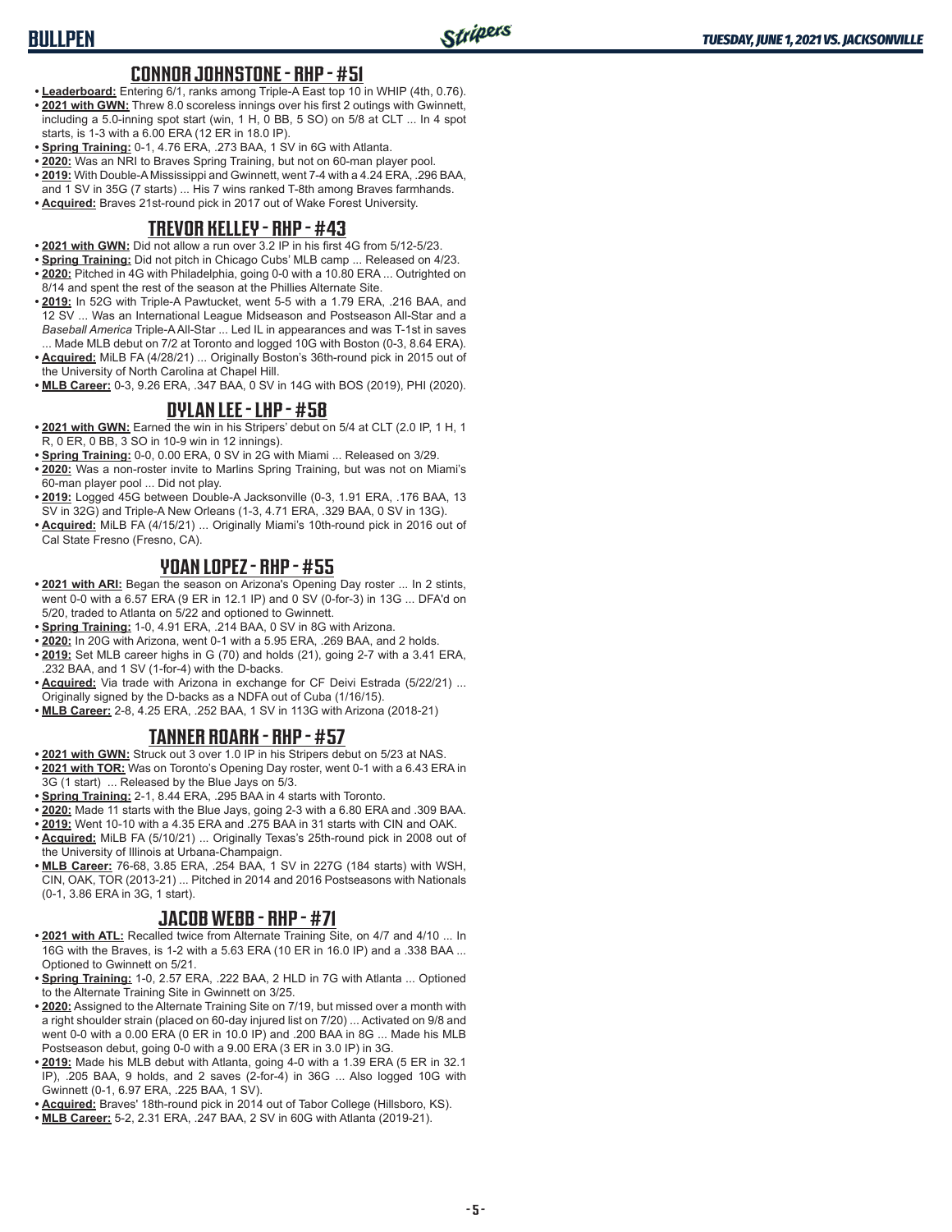### **CONNOR JOHNSTONE - RHP - #51**

- **• Leaderboard:** Entering 6/1, ranks among Triple-A East top 10 in WHIP (4th, 0.76). **• 2021 with GWN:** Threw 8.0 scoreless innings over his first 2 outings with Gwinnett, including a 5.0-inning spot start (win, 1 H, 0 BB, 5 SO) on 5/8 at CLT ... In 4 spot starts, is 1-3 with a 6.00 ERA (12 ER in 18.0 IP).
- **• Spring Training:** 0-1, 4.76 ERA, .273 BAA, 1 SV in 6G with Atlanta.
- **• 2020:** Was an NRI to Braves Spring Training, but not on 60-man player pool.
- **• 2019:** With Double-A Mississippi and Gwinnett, went 7-4 with a 4.24 ERA, .296 BAA, and 1 SV in 35G (7 starts) ... His 7 wins ranked T-8th among Braves farmhands.
- **• Acquired:** Braves 21st-round pick in 2017 out of Wake Forest University.

### **TREVOR KELLEY - RHP - #43**

- **• 2021 with GWN:** Did not allow a run over 3.2 IP in his first 4G from 5/12-5/23.
- **• Spring Training:** Did not pitch in Chicago Cubs' MLB camp ... Released on 4/23.
- **• 2020:** Pitched in 4G with Philadelphia, going 0-0 with a 10.80 ERA ... Outrighted on 8/14 and spent the rest of the season at the Phillies Alternate Site.
- **• 2019:** In 52G with Triple-A Pawtucket, went 5-5 with a 1.79 ERA, .216 BAA, and 12 SV ... Was an International League Midseason and Postseason All-Star and a *Baseball America* Triple-A All-Star ... Led IL in appearances and was T-1st in saves ... Made MLB debut on 7/2 at Toronto and logged 10G with Boston (0-3, 8.64 ERA).
- **• Acquired:** MiLB FA (4/28/21) ... Originally Boston's 36th-round pick in 2015 out of the University of North Carolina at Chapel Hill.
- **• MLB Career:** 0-3, 9.26 ERA, .347 BAA, 0 SV in 14G with BOS (2019), PHI (2020).

#### **DYLAN LEE - LHP - #58**

- **• 2021 with GWN:** Earned the win in his Stripers' debut on 5/4 at CLT (2.0 IP, 1 H, 1 R, 0 ER, 0 BB, 3 SO in 10-9 win in 12 innings).
- **• Spring Training:** 0-0, 0.00 ERA, 0 SV in 2G with Miami ... Released on 3/29.
- **• 2020:** Was a non-roster invite to Marlins Spring Training, but was not on Miami's 60-man player pool ... Did not play.
- **• 2019:** Logged 45G between Double-A Jacksonville (0-3, 1.91 ERA, .176 BAA, 13 SV in 32G) and Triple-A New Orleans (1-3, 4.71 ERA, .329 BAA, 0 SV in 13G).
- **• Acquired:** MiLB FA (4/15/21) ... Originally Miami's 10th-round pick in 2016 out of Cal State Fresno (Fresno, CA).

### **YOAN LOPEZ - RHP - #55**

- **• 2021 with ARI:** Began the season on Arizona's Opening Day roster ... In 2 stints, went 0-0 with a 6.57 ERA (9 ER in 12.1 IP) and 0 SV (0-for-3) in 13G ... DFA'd on 5/20, traded to Atlanta on 5/22 and optioned to Gwinnett.
- **• Spring Training:** 1-0, 4.91 ERA, .214 BAA, 0 SV in 8G with Arizona.
- **• 2020:** In 20G with Arizona, went 0-1 with a 5.95 ERA, .269 BAA, and 2 holds.
- **• 2019:** Set MLB career highs in G (70) and holds (21), going 2-7 with a 3.41 ERA, .232 BAA, and 1 SV (1-for-4) with the D-backs.
- **• Acquired:** Via trade with Arizona in exchange for CF Deivi Estrada (5/22/21) ... Originally signed by the D-backs as a NDFA out of Cuba (1/16/15).
- **• MLB Career:** 2-8, 4.25 ERA, .252 BAA, 1 SV in 113G with Arizona (2018-21)

## **TANNER ROARK - RHP - #57**

- **• 2021 with GWN:** Struck out 3 over 1.0 IP in his Stripers debut on 5/23 at NAS.
- **• 2021 with TOR:** Was on Toronto's Opening Day roster, went 0-1 with a 6.43 ERA in 3G (1 start) ... Released by the Blue Jays on 5/3.
- **• Spring Training:** 2-1, 8.44 ERA, .295 BAA in 4 starts with Toronto.
- **• 2020:** Made 11 starts with the Blue Jays, going 2-3 with a 6.80 ERA and .309 BAA.
- **• 2019:** Went 10-10 with a 4.35 ERA and .275 BAA in 31 starts with CIN and OAK. **• Acquired:** MiLB FA (5/10/21) ... Originally Texas's 25th-round pick in 2008 out of
- the University of Illinois at Urbana-Champaign.
- **• MLB Career:** 76-68, 3.85 ERA, .254 BAA, 1 SV in 227G (184 starts) with WSH, CIN, OAK, TOR (2013-21) ... Pitched in 2014 and 2016 Postseasons with Nationals (0-1, 3.86 ERA in 3G, 1 start).

#### **JACOB WEBB - RHP - #71**

- **• 2021 with ATL:** Recalled twice from Alternate Training Site, on 4/7 and 4/10 ... In 16G with the Braves, is 1-2 with a 5.63 ERA (10 ER in 16.0 IP) and a .338 BAA ... Optioned to Gwinnett on 5/21.
- **• Spring Training:** 1-0, 2.57 ERA, .222 BAA, 2 HLD in 7G with Atlanta ... Optioned to the Alternate Training Site in Gwinnett on 3/25.
- **• 2020:** Assigned to the Alternate Training Site on 7/19, but missed over a month with a right shoulder strain (placed on 60-day injured list on 7/20) ... Activated on 9/8 and went 0-0 with a 0.00 ERA (0 ER in 10.0 IP) and .200 BAA in 8G ... Made his MLB Postseason debut, going 0-0 with a 9.00 ERA (3 ER in 3.0 IP) in 3G.
- **• 2019:** Made his MLB debut with Atlanta, going 4-0 with a 1.39 ERA (5 ER in 32.1 IP), .205 BAA, 9 holds, and 2 saves (2-for-4) in 36G ... Also logged 10G with Gwinnett (0-1, 6.97 ERA, .225 BAA, 1 SV).
- **• Acquired:** Braves' 18th-round pick in 2014 out of Tabor College (Hillsboro, KS).
- **• MLB Career:** 5-2, 2.31 ERA, .247 BAA, 2 SV in 60G with Atlanta (2019-21).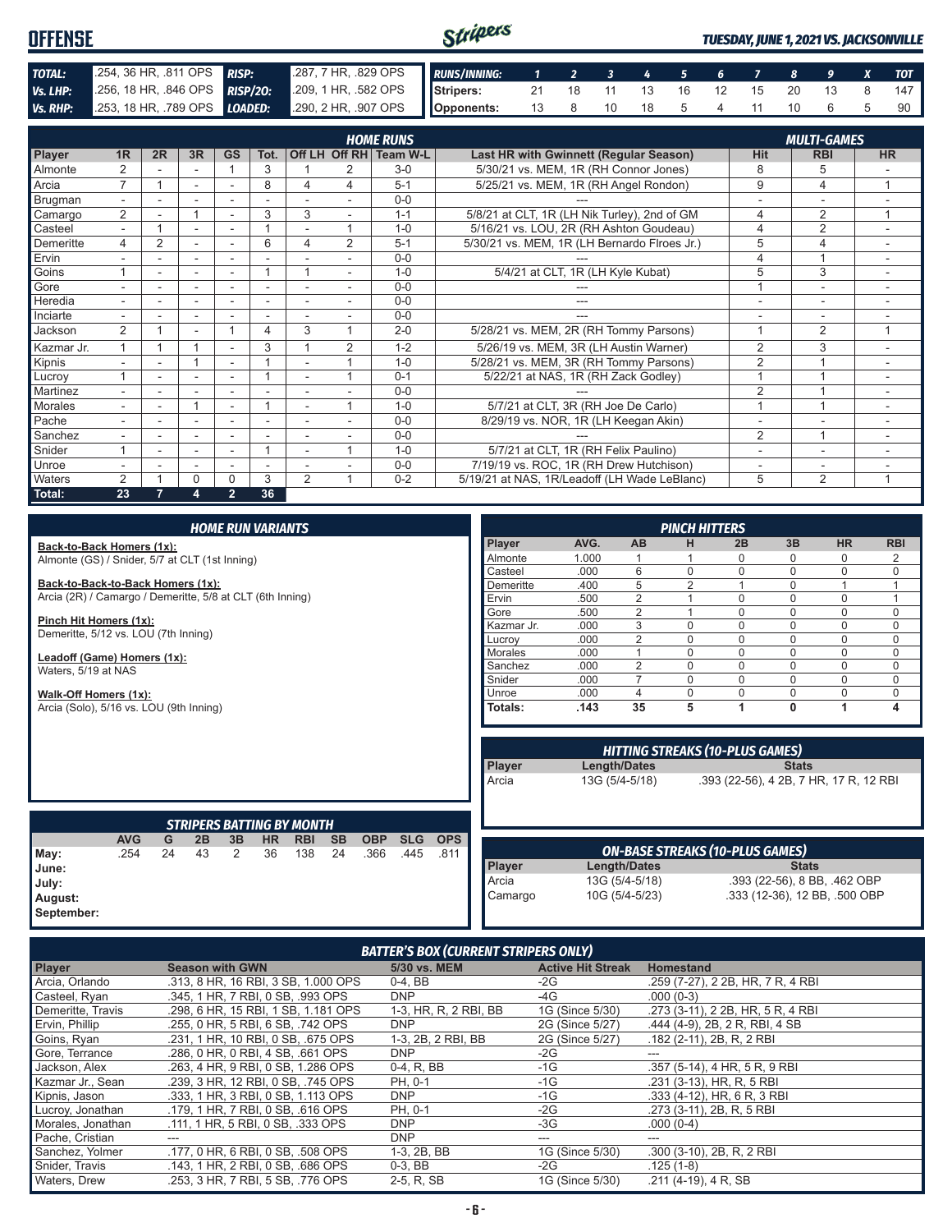| <b>OFFENSE</b> |                                                                                        |  | Stripers<br><b>TUESDAY, JUNE 1, 2021 VS. JACKSONVILLE</b> |  |                        |  |  |  |  |  |  |  |    |
|----------------|----------------------------------------------------------------------------------------|--|-----------------------------------------------------------|--|------------------------|--|--|--|--|--|--|--|----|
| TOTAL:         | 254, 36 HR, 811 OPS RISP:                                                              |  | 287, 7 HR, 829 OPS RUNS/INNING: 1 2 3 4 5 6 7 8 9 X TOT   |  |                        |  |  |  |  |  |  |  |    |
| Vs. LHP:       | 256, 18 HR, 846 OPS RISP/20: 209, 1 HR, 582 OPS Stripers: 21 18 11 13 16 12 15 20 13 8 |  |                                                           |  |                        |  |  |  |  |  |  |  |    |
|                | Vs. RHP: 253, 18 HR, 789 OPS LOADED: 290, 2 HR, 907 OPS Opponents:                     |  |                                                           |  | 13 8 10 18 5 4 11 10 6 |  |  |  |  |  |  |  | 90 |

| <b>HOME RUNS</b><br><b>MULTI-GAMES</b> |                |    |                          |                          |      |                          |                |                        |                                              |                          |                |                |
|----------------------------------------|----------------|----|--------------------------|--------------------------|------|--------------------------|----------------|------------------------|----------------------------------------------|--------------------------|----------------|----------------|
| Player                                 | 1R             | 2R | 3R                       | <b>GS</b>                | Tot. |                          |                | Off LH Off RH Team W-L | Last HR with Gwinnett (Regular Season)       | <b>Hit</b>               | <b>RBI</b>     | <b>HR</b>      |
| Almonte                                | $\overline{2}$ |    |                          |                          | 3    |                          | 2              | $3-0$                  | 5/30/21 vs. MEM, 1R (RH Connor Jones)        | 8                        | 5              |                |
| Arcia                                  | $\overline{7}$ |    | ۰                        | ٠                        | 8    | 4                        | 4              | $5 - 1$                | 5/25/21 vs. MEM, 1R (RH Angel Rondon)        | 9                        | 4              | $\overline{ }$ |
| Brugman                                |                |    |                          |                          |      |                          |                | $0 - 0$                |                                              |                          | ۰              |                |
| Camargo                                | $\overline{2}$ |    |                          | ٠                        | 3    | 3                        |                | $1 - 1$                | 5/8/21 at CLT, 1R (LH Nik Turley), 2nd of GM | 4                        | 2              | 1              |
| Casteel                                | $\sim$         |    | ٠                        | ٠                        |      |                          | 4              | $1 - 0$                | 5/16/21 vs. LOU, 2R (RH Ashton Goudeau)      | 4                        | $\overline{2}$ | ۰              |
| Demeritte                              | 4              | 2  | ۰                        | ٠.                       | 6    | 4                        | $\overline{2}$ | $5 - 1$                | 5/30/21 vs. MEM, 1R (LH Bernardo Flroes Jr.) | 5                        | 4              |                |
| Ervin                                  |                |    | ۰                        | ٠                        |      |                          |                | $0 - 0$                |                                              | 4                        |                |                |
| Goins                                  |                |    |                          |                          |      |                          |                | $1 - 0$                | 5/4/21 at CLT, 1R (LH Kyle Kubat)            | 5                        | 3              |                |
| Gore                                   |                |    | ۰                        | ٠                        |      | ٠                        |                | $0 - 0$                |                                              |                          | ۰              |                |
| Heredia                                |                |    |                          |                          |      |                          |                | $0 - 0$                | ---                                          | ٠                        | ۰              |                |
| Inciarte                               |                |    |                          |                          |      |                          |                | $0 - 0$                | ---                                          |                          | ۰              |                |
| Jackson                                | $\overline{2}$ |    | $\overline{\phantom{a}}$ |                          | 4    | 3                        | 4              | $2 - 0$                | 5/28/21 vs. MEM, 2R (RH Tommy Parsons)       |                          | $\overline{2}$ |                |
| Kazmar Jr.                             | 4              |    |                          | $\overline{a}$           | 3    |                          | 2              | $1 - 2$                | 5/26/19 vs. MEM, 3R (LH Austin Warner)       | $\overline{2}$           | 3              |                |
| Kipnis                                 |                |    |                          |                          |      |                          |                | $1 - 0$                | 5/28/21 vs. MEM, 3R (RH Tommy Parsons)       | $\overline{2}$           |                |                |
| Lucroy                                 |                |    |                          |                          |      |                          |                | $0 - 1$                | 5/22/21 at NAS, 1R (RH Zack Godley)          |                          |                |                |
| Martinez                               |                |    | ۰                        | ٠                        |      | ٠                        |                | $0 - 0$                |                                              | $\overline{2}$           |                | ۰              |
| <b>Morales</b>                         |                | ۰. |                          | $\overline{\phantom{a}}$ |      | $\overline{\phantom{a}}$ | 4              | $1 - 0$                | 5/7/21 at CLT, 3R (RH Joe De Carlo)          |                          |                | ÷              |
| Pache                                  |                |    | ٠                        | -                        |      |                          |                | $0 - 0$                | 8/29/19 vs. NOR, 1R (LH Keegan Akin)         |                          |                |                |
| Sanchez                                |                |    |                          |                          |      |                          |                | $0 - 0$                |                                              | $\overline{2}$           |                |                |
| Snider                                 |                |    |                          |                          |      |                          | -4             | $1 - 0$                | 5/7/21 at CLT, 1R (RH Felix Paulino)         | ۰                        | ۰              |                |
| Unroe                                  |                |    | ٠                        | ٠                        | ٠    |                          |                | $0 - 0$                | 7/19/19 vs. ROC, 1R (RH Drew Hutchison)      | $\overline{\phantom{a}}$ | ٠              |                |
| Waters                                 | $\mathcal{P}$  |    | 0                        | $\Omega$                 | 3    | $\mathfrak{p}$           | -4             | $0 - 2$                | 5/19/21 at NAS, 1R/Leadoff (LH Wade LeBlanc) | 5                        | 2              |                |
| Total:                                 | 23             |    | 4                        | $\overline{2}$           | 36   |                          |                |                        |                                              |                          |                |                |

|                                                                             |            |    |    |    | <b>HOME RUN VARIANTS</b> |                                  |           |            |            |            |            |       |                     | <b>PINCH HITTERS</b>                   |                                        |                               |             |                |
|-----------------------------------------------------------------------------|------------|----|----|----|--------------------------|----------------------------------|-----------|------------|------------|------------|------------|-------|---------------------|----------------------------------------|----------------------------------------|-------------------------------|-------------|----------------|
|                                                                             |            |    |    |    |                          |                                  |           |            |            |            | Player     | AVG.  | <b>AB</b>           | н                                      | 2B                                     | 3B                            | <b>HR</b>   | <b>RBI</b>     |
| Back-to-Back Homers (1x):<br>Almonte (GS) / Snider, 5/7 at CLT (1st Inning) |            |    |    |    |                          |                                  |           |            |            |            | Almonte    | 1.000 |                     |                                        | $\Omega$                               | 0                             | $\Omega$    | $\overline{2}$ |
|                                                                             |            |    |    |    |                          |                                  |           |            |            |            | Casteel    | .000  | 6                   | $\Omega$                               | $\Omega$                               | $\Omega$                      | $\Omega$    | $\mathbf{0}$   |
| Back-to-Back-to-Back Homers (1x):                                           |            |    |    |    |                          |                                  |           |            |            |            | Demeritte  | .400  | 5                   | $\overline{2}$                         |                                        | 0                             | 1           | $\overline{1}$ |
| Arcia (2R) / Camargo / Demeritte, 5/8 at CLT (6th Inning)                   |            |    |    |    |                          |                                  |           |            |            |            | Ervin      | .500  | 2                   |                                        | $\Omega$                               | $\Omega$                      | $\mathbf 0$ | $\overline{1}$ |
|                                                                             |            |    |    |    |                          |                                  |           |            |            |            | Gore       | .500  | $\overline{2}$      |                                        | $\Omega$                               | $\overline{0}$                | $\Omega$    | $\mathbf 0$    |
| Pinch Hit Homers (1x):                                                      |            |    |    |    |                          |                                  |           |            |            |            | Kazmar Jr. | .000  | 3                   | $\Omega$                               | $\mathbf 0$                            | 0                             | $\mathbf 0$ | $\mathbf 0$    |
| Demeritte, 5/12 vs. LOU (7th Inning)                                        |            |    |    |    |                          |                                  |           |            |            |            | Lucrov     | .000  | $\overline{2}$      | $\Omega$                               | $\Omega$                               | $\Omega$                      | $\Omega$    | $\mathbf 0$    |
| Leadoff (Game) Homers (1x):                                                 |            |    |    |    |                          |                                  |           |            |            |            | Morales    | .000  |                     | $\Omega$                               | $\Omega$                               | 0                             | $\mathbf 0$ | $\mathbf 0$    |
| Waters, 5/19 at NAS                                                         |            |    |    |    |                          |                                  |           |            |            |            | Sanchez    | .000  | $\overline{2}$      | $\Omega$                               | $\Omega$                               | 0                             | $\Omega$    | $\mathbf 0$    |
|                                                                             |            |    |    |    |                          |                                  |           |            |            |            | Snider     | .000  | $\overline{7}$      | $\Omega$                               | $\Omega$                               | 0                             | $\Omega$    | $\Omega$       |
| Walk-Off Homers (1x):                                                       |            |    |    |    |                          |                                  |           |            |            |            | Unroe      | .000  | 4                   | $\Omega$                               | $\mathbf 0$                            | 0                             | $\mathbf 0$ | $\mathbf 0$    |
| Arcia (Solo), 5/16 vs. LOU (9th Inning)                                     |            |    |    |    |                          |                                  |           |            |            |            | Totals:    | .143  | 35                  | 5                                      | 1                                      | 0                             | 1           | 4              |
|                                                                             |            |    |    |    |                          |                                  |           |            |            |            |            |       |                     |                                        |                                        |                               |             |                |
|                                                                             |            |    |    |    |                          |                                  |           |            |            |            |            |       |                     | <b>HITTING STREAKS (10-PLUS GAMES)</b> |                                        |                               |             |                |
|                                                                             |            |    |    |    |                          |                                  |           |            |            |            | Player     |       | Length/Dates        |                                        |                                        | <b>Stats</b>                  |             |                |
|                                                                             |            |    |    |    |                          |                                  |           |            |            |            | Arcia      |       | 13G (5/4-5/18)      |                                        | .393 (22-56), 4 2B, 7 HR, 17 R, 12 RBI |                               |             |                |
|                                                                             |            |    |    |    |                          |                                  |           |            |            |            |            |       |                     |                                        |                                        |                               |             |                |
|                                                                             |            |    |    |    |                          |                                  |           |            |            |            |            |       |                     |                                        |                                        |                               |             |                |
|                                                                             |            |    |    |    |                          | <b>STRIPERS BATTING BY MONTH</b> |           |            |            |            |            |       |                     |                                        |                                        |                               |             |                |
|                                                                             | <b>AVG</b> | G  | 2B | 3B | <b>HR</b>                | <b>RBI</b>                       | <b>SB</b> | <b>OBP</b> | <b>SLG</b> | <b>OPS</b> |            |       |                     |                                        |                                        |                               |             |                |
| May:                                                                        | .254       | 24 | 43 | 2  | 36                       | 138                              | 24        | .366       | .445       | .811       |            |       |                     | <b>ON-BASE STREAKS (10-PLUS GAMES)</b> |                                        |                               |             |                |
| June:                                                                       |            |    |    |    |                          |                                  |           |            |            |            | Player     |       | <b>Length/Dates</b> |                                        |                                        | <b>Stats</b>                  |             |                |
| July:                                                                       |            |    |    |    |                          |                                  |           |            |            |            | Arcia      |       | 13G (5/4-5/18)      |                                        |                                        | .393 (22-56), 8 BB, .462 OBP  |             |                |
| August:                                                                     |            |    |    |    |                          |                                  |           |            |            |            | Camargo    |       | 10G (5/4-5/23)      |                                        |                                        | .333 (12-36), 12 BB, .500 OBP |             |                |
| September:                                                                  |            |    |    |    |                          |                                  |           |            |            |            |            |       |                     |                                        |                                        |                               |             |                |

| <b>BATTER'S BOX (CURRENT STRIPERS ONLY)</b> |                                     |                       |                          |                                   |  |  |
|---------------------------------------------|-------------------------------------|-----------------------|--------------------------|-----------------------------------|--|--|
| <b>Player</b>                               | <b>Season with GWN</b>              | 5/30 vs. MEM          | <b>Active Hit Streak</b> | <b>Homestand</b>                  |  |  |
| Arcia, Orlando                              | .313, 8 HR, 16 RBI, 3 SB, 1,000 OPS | $0-4.$ BB             | $-2G$                    | .259 (7-27), 2 2B, HR, 7 R, 4 RBI |  |  |
| Casteel, Ryan                               | .345, 1 HR, 7 RBI, 0 SB, .993 OPS   | <b>DNP</b>            | -4G                      | $.000(0-3)$                       |  |  |
| Demeritte, Travis                           | .298, 6 HR, 15 RBI, 1 SB, 1.181 OPS | 1-3, HR, R, 2 RBI, BB | 1G (Since 5/30)          | .273 (3-11), 2 2B, HR, 5 R, 4 RBI |  |  |
| Ervin, Phillip                              | .255, 0 HR, 5 RBI, 6 SB, .742 OPS   | <b>DNP</b>            | 2G (Since 5/27)          | .444 (4-9), 2B, 2R, RBI, 4 SB     |  |  |
| Goins, Ryan                                 | .231. 1 HR. 10 RBI. 0 SB. .675 OPS  | 1-3, 2B, 2 RBI, BB    | 2G (Since 5/27)          | $.182$ (2-11), 2B, R, 2 RBI       |  |  |
| Gore, Terrance                              | .286, 0 HR, 0 RBI, 4 SB, .661 OPS   | <b>DNP</b>            | $-2G$                    |                                   |  |  |
| Jackson, Alex                               | .263, 4 HR, 9 RBI, 0 SB, 1.286 OPS  | 0-4, R, BB            | $-1G$                    | .357 (5-14), 4 HR, 5 R, 9 RBI     |  |  |
| Kazmar Jr., Sean                            | .239. 3 HR. 12 RBI. 0 SB. .745 OPS  | PH. 0-1               | $-1G$                    | .231 (3-13), HR, R, 5 RBI         |  |  |
| Kipnis, Jason                               | .333. 1 HR. 3 RBI. 0 SB. 1.113 OPS  | <b>DNP</b>            | $-1G$                    | .333 (4-12), HR, 6 R, 3 RBI       |  |  |
| Lucroy, Jonathan                            | .179, 1 HR, 7 RBI, 0 SB, .616 OPS   | PH, 0-1               | $-2G$                    | .273 (3-11), 2B, R, 5 RBI         |  |  |
| Morales, Jonathan                           | .111, 1 HR, 5 RBI, 0 SB, .333 OPS   | <b>DNP</b>            | $-3G$                    | $.000(0-4)$                       |  |  |
| Pache, Cristian                             |                                     | <b>DNP</b>            | ---                      |                                   |  |  |
| Sanchez, Yolmer                             | .177, 0 HR, 6 RBI, 0 SB, .508 OPS   | 1-3, 2B, BB           | 1G (Since 5/30)          | .300 (3-10), 2B, R, 2 RBI         |  |  |
| Snider, Travis                              | .143, 1 HR, 2 RBI, 0 SB, .686 OPS   | $0-3$ , BB            | $-2G$                    | $.125(1-8)$                       |  |  |
| Waters, Drew                                | .253, 3 HR, 7 RBI, 5 SB, .776 OPS   | 2-5, R, SB            | 1G (Since 5/30)          | .211 (4-19), 4 R, SB              |  |  |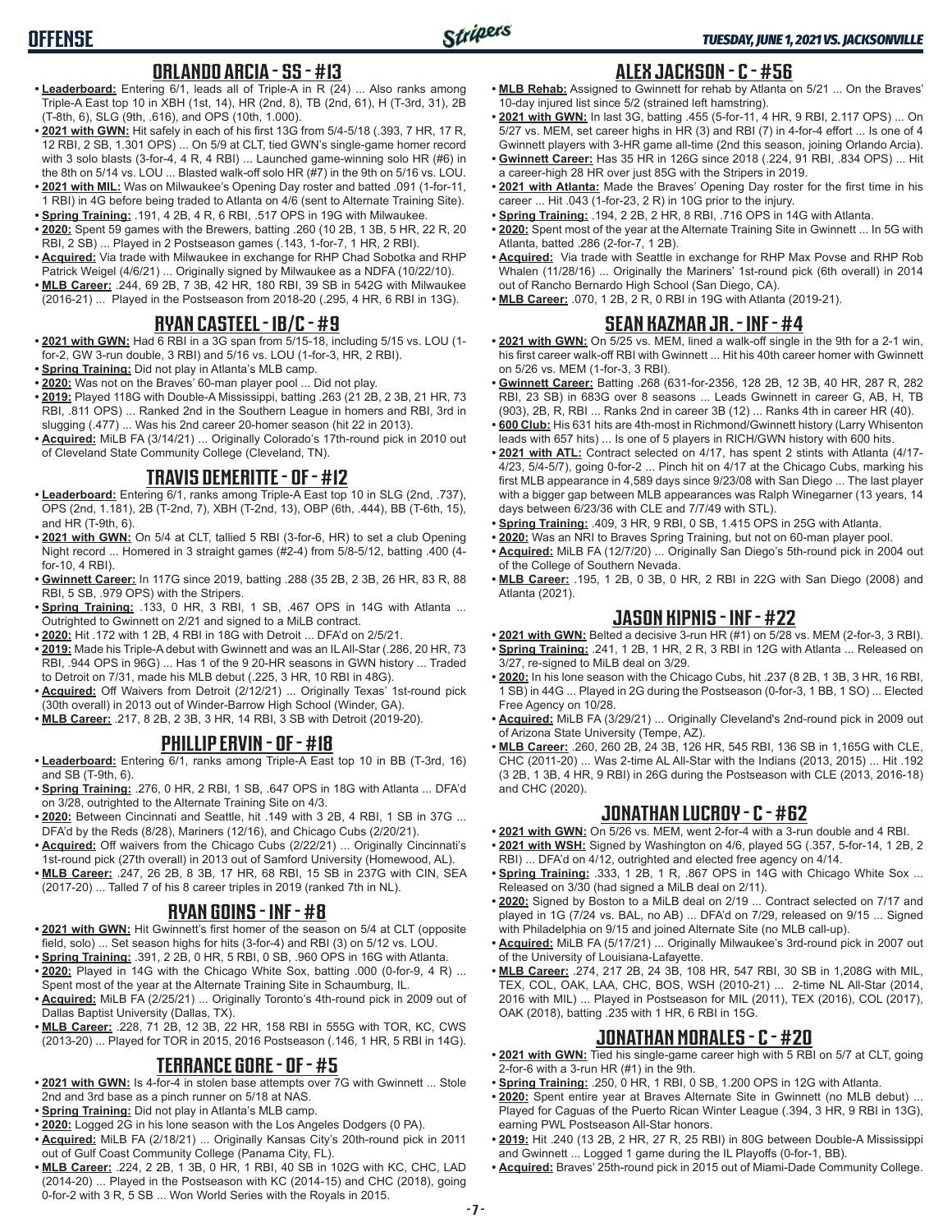# **OFFENSE**

### **ORLANDO ARCIA - SS - #13**

- **• Leaderboard:** Entering 6/1, leads all of Triple-A in R (24) ... Also ranks among Triple-A East top 10 in XBH (1st, 14), HR (2nd, 8), TB (2nd, 61), H (T-3rd, 31), 2B (T-8th, 6), SLG (9th, .616), and OPS (10th, 1.000).
- **• 2021 with GWN:** Hit safely in each of his first 13G from 5/4-5/18 (.393, 7 HR, 17 R, 12 RBI, 2 SB, 1.301 OPS) ... On 5/9 at CLT, tied GWN's single-game homer record with 3 solo blasts (3-for-4, 4 R, 4 RBI) ... Launched game-winning solo HR (#6) in the 8th on 5/14 vs. LOU ... Blasted walk-off solo HR (#7) in the 9th on 5/16 vs. LOU.
- **• 2021 with MIL:** Was on Milwaukee's Opening Day roster and batted .091 (1-for-11, 1 RBI) in 4G before being traded to Atlanta on 4/6 (sent to Alternate Training Site).
- **• Spring Training:** .191, 4 2B, 4 R, 6 RBI, .517 OPS in 19G with Milwaukee. **• 2020:** Spent 59 games with the Brewers, batting .260 (10 2B, 1 3B, 5 HR, 22 R, 20 RBI, 2 SB) ... Played in 2 Postseason games (.143, 1-for-7, 1 HR, 2 RBI).
- **• Acquired:** Via trade with Milwaukee in exchange for RHP Chad Sobotka and RHP Patrick Weigel (4/6/21) ... Originally signed by Milwaukee as a NDFA (10/22/10).
- **• MLB Career:** .244, 69 2B, 7 3B, 42 HR, 180 RBI, 39 SB in 542G with Milwaukee (2016-21) ... Played in the Postseason from 2018-20 (.295, 4 HR, 6 RBI in 13G).

## **RYAN CASTEEL - 1B/C - #9**

- **• 2021 with GWN:** Had 6 RBI in a 3G span from 5/15-18, including 5/15 vs. LOU (1 for-2, GW 3-run double, 3 RBI) and 5/16 vs. LOU (1-for-3, HR, 2 RBI).
- **• Spring Training:** Did not play in Atlanta's MLB camp.
- **• 2020:** Was not on the Braves' 60-man player pool ... Did not play.
- **• 2019:** Played 118G with Double-A Mississippi, batting .263 (21 2B, 2 3B, 21 HR, 73 RBI, .811 OPS) ... Ranked 2nd in the Southern League in homers and RBI, 3rd in slugging (.477) ... Was his 2nd career 20-homer season (hit 22 in 2013).
- **• Acquired:** MiLB FA (3/14/21) ... Originally Colorado's 17th-round pick in 2010 out of Cleveland State Community College (Cleveland, TN).

## **TRAVIS DEMERITTE - OF - #12**

- **• Leaderboard:** Entering 6/1, ranks among Triple-A East top 10 in SLG (2nd, .737), OPS (2nd, 1.181), 2B (T-2nd, 7), XBH (T-2nd, 13), OBP (6th, .444), BB (T-6th, 15), and HR (T-9th, 6).
- **• 2021 with GWN:** On 5/4 at CLT, tallied 5 RBI (3-for-6, HR) to set a club Opening Night record ... Homered in 3 straight games (#2-4) from 5/8-5/12, batting .400 (4 for-10, 4 RBI).
- **• Gwinnett Career:** In 117G since 2019, batting .288 (35 2B, 2 3B, 26 HR, 83 R, 88 RBI, 5 SB, .979 OPS) with the Stripers.
- **• Spring Training:** .133, 0 HR, 3 RBI, 1 SB, .467 OPS in 14G with Atlanta ... Outrighted to Gwinnett on 2/21 and signed to a MiLB contract.
- **• 2020:** Hit .172 with 1 2B, 4 RBI in 18G with Detroit ... DFA'd on 2/5/21.
- **• 2019:** Made his Triple-A debut with Gwinnett and was an IL All-Star (.286, 20 HR, 73 RBI, .944 OPS in 96G) ... Has 1 of the 9 20-HR seasons in GWN history ... Traded to Detroit on 7/31, made his MLB debut (.225, 3 HR, 10 RBI in 48G).
- **• Acquired:** Off Waivers from Detroit (2/12/21) ... Originally Texas' 1st-round pick (30th overall) in 2013 out of Winder-Barrow High School (Winder, GA).
- **• MLB Career:** .217, 8 2B, 2 3B, 3 HR, 14 RBI, 3 SB with Detroit (2019-20).

#### **PHILLIP ERVIN - OF - #18**

- **• Leaderboard:** Entering 6/1, ranks among Triple-A East top 10 in BB (T-3rd, 16) and SB (T-9th, 6).
- **• Spring Training:** .276, 0 HR, 2 RBI, 1 SB, .647 OPS in 18G with Atlanta ... DFA'd on 3/28, outrighted to the Alternate Training Site on 4/3.
- **• 2020:** Between Cincinnati and Seattle, hit .149 with 3 2B, 4 RBI, 1 SB in 37G ... DFA'd by the Reds (8/28), Mariners (12/16), and Chicago Cubs (2/20/21).
- **• Acquired:** Off waivers from the Chicago Cubs (2/22/21) ... Originally Cincinnati's 1st-round pick (27th overall) in 2013 out of Samford University (Homewood, AL).
- **• MLB Career:** .247, 26 2B, 8 3B, 17 HR, 68 RBI, 15 SB in 237G with CIN, SEA (2017-20) ... Talled 7 of his 8 career triples in 2019 (ranked 7th in NL).

## **RYAN GOINS - INF - #8**

- **• 2021 with GWN:** Hit Gwinnett's first homer of the season on 5/4 at CLT (opposite field, solo) ... Set season highs for hits (3-for-4) and RBI (3) on 5/12 vs. LOU.
- **• Spring Training:** .391, 2 2B, 0 HR, 5 RBI, 0 SB, .960 OPS in 16G with Atlanta.
- **• 2020:** Played in 14G with the Chicago White Sox, batting .000 (0-for-9, 4 R) ... Spent most of the year at the Alternate Training Site in Schaumburg, IL.
- **• Acquired:** MiLB FA (2/25/21) ... Originally Toronto's 4th-round pick in 2009 out of Dallas Baptist University (Dallas, TX).
- **• MLB Career:** .228, 71 2B, 12 3B, 22 HR, 158 RBI in 555G with TOR, KC, CWS (2013-20) ... Played for TOR in 2015, 2016 Postseason (.146, 1 HR, 5 RBI in 14G).

## **TERRANCE GORE - OF - #5**

- **• 2021 with GWN:** Is 4-for-4 in stolen base attempts over 7G with Gwinnett ... Stole 2nd and 3rd base as a pinch runner on 5/18 at NAS.
- **• Spring Training:** Did not play in Atlanta's MLB camp.
- **• 2020:** Logged 2G in his lone season with the Los Angeles Dodgers (0 PA).
- **• Acquired:** MiLB FA (2/18/21) ... Originally Kansas City's 20th-round pick in 2011 out of Gulf Coast Community College (Panama City, FL).
- **• MLB Career:** .224, 2 2B, 1 3B, 0 HR, 1 RBI, 40 SB in 102G with KC, CHC, LAD (2014-20) ... Played in the Postseason with KC (2014-15) and CHC (2018), going 0-for-2 with 3 R, 5 SB ... Won World Series with the Royals in 2015.

## **ALEX JACKSON - C - #56**

- **• MLB Rehab:** Assigned to Gwinnett for rehab by Atlanta on 5/21 ... On the Braves' 10-day injured list since 5/2 (strained left hamstring).
- **• 2021 with GWN:** In last 3G, batting .455 (5-for-11, 4 HR, 9 RBI, 2.117 OPS) ... On 5/27 vs. MEM, set career highs in HR (3) and RBI (7) in 4-for-4 effort ... Is one of 4 Gwinnett players with 3-HR game all-time (2nd this season, joining Orlando Arcia).
- **• Gwinnett Career:** Has 35 HR in 126G since 2018 (.224, 91 RBI, .834 OPS) ... Hit a career-high 28 HR over just 85G with the Stripers in 2019.
- **• 2021 with Atlanta:** Made the Braves' Opening Day roster for the first time in his career ... Hit .043 (1-for-23, 2 R) in 10G prior to the injury.
- **• Spring Training:** .194, 2 2B, 2 HR, 8 RBI, .716 OPS in 14G with Atlanta.
- **• 2020:** Spent most of the year at the Alternate Training Site in Gwinnett ... In 5G with Atlanta, batted .286 (2-for-7, 1 2B).
- **• Acquired:** Via trade with Seattle in exchange for RHP Max Povse and RHP Rob Whalen (11/28/16) ... Originally the Mariners' 1st-round pick (6th overall) in 2014 out of Rancho Bernardo High School (San Diego, CA).
- **• MLB Career:** .070, 1 2B, 2 R, 0 RBI in 19G with Atlanta (2019-21).

# **SEAN KAZMAR JR. - INF - #4**

- **• 2021 with GWN:** On 5/25 vs. MEM, lined a walk-off single in the 9th for a 2-1 win, his first career walk-off RBI with Gwinnett ... Hit his 40th career homer with Gwinnett on 5/26 vs. MEM (1-for-3, 3 RBI).
- **• Gwinnett Career:** Batting .268 (631-for-2356, 128 2B, 12 3B, 40 HR, 287 R, 282 RBI, 23 SB) in 683G over 8 seasons ... Leads Gwinnett in career G, AB, H, TB (903), 2B, R, RBI ... Ranks 2nd in career 3B (12) ... Ranks 4th in career HR (40).
- **• 600 Club:** His 631 hits are 4th-most in Richmond/Gwinnett history (Larry Whisenton leads with 657 hits) ... Is one of 5 players in RICH/GWN history with 600 hits.
- **• 2021 with ATL:** Contract selected on 4/17, has spent 2 stints with Atlanta (4/17- 4/23, 5/4-5/7), going 0-for-2 ... Pinch hit on 4/17 at the Chicago Cubs, marking his first MLB appearance in 4,589 days since 9/23/08 with San Diego ... The last player with a bigger gap between MLB appearances was Ralph Winegarner (13 years, 14 days between 6/23/36 with CLE and 7/7/49 with STL).
- **• Spring Training:** .409, 3 HR, 9 RBI, 0 SB, 1.415 OPS in 25G with Atlanta.
- **• 2020:** Was an NRI to Braves Spring Training, but not on 60-man player pool.
- **• Acquired:** MiLB FA (12/7/20) ... Originally San Diego's 5th-round pick in 2004 out of the College of Southern Nevada.
- **• MLB Career:** .195, 1 2B, 0 3B, 0 HR, 2 RBI in 22G with San Diego (2008) and Atlanta (2021).

## **JASON KIPNIS - INF - #22**

- **• 2021 with GWN:** Belted a decisive 3-run HR (#1) on 5/28 vs. MEM (2-for-3, 3 RBI). **• Spring Training:** .241, 1 2B, 1 HR, 2 R, 3 RBI in 12G with Atlanta ... Released on 3/27, re-signed to MiLB deal on 3/29.
- **• 2020:** In his lone season with the Chicago Cubs, hit .237 (8 2B, 1 3B, 3 HR, 16 RBI, 1 SB) in 44G ... Played in 2G during the Postseason (0-for-3, 1 BB, 1 SO) ... Elected Free Agency on 10/28.
- **• Acquired:** MiLB FA (3/29/21) ... Originally Cleveland's 2nd-round pick in 2009 out of Arizona State University (Tempe, AZ).
- **• MLB Career:** .260, 260 2B, 24 3B, 126 HR, 545 RBI, 136 SB in 1,165G with CLE, CHC (2011-20) ... Was 2-time AL All-Star with the Indians (2013, 2015) ... Hit .192 (3 2B, 1 3B, 4 HR, 9 RBI) in 26G during the Postseason with CLE (2013, 2016-18) and CHC (2020).

## **JONATHAN LUCROY - C - #62**

- **• 2021 with GWN:** On 5/26 vs. MEM, went 2-for-4 with a 3-run double and 4 RBI. **• 2021 with WSH:** Signed by Washington on 4/6, played 5G (.357, 5-for-14, 1 2B, 2
- RBI) ... DFA'd on 4/12, outrighted and elected free agency on 4/14. **• Spring Training:** .333, 1 2B, 1 R, .867 OPS in 14G with Chicago White Sox ... Released on 3/30 (had signed a MiLB deal on 2/11).
- **• 2020:** Signed by Boston to a MiLB deal on 2/19 ... Contract selected on 7/17 and played in 1G (7/24 vs. BAL, no AB) ... DFA'd on 7/29, released on 9/15 ... Signed with Philadelphia on 9/15 and joined Alternate Site (no MLB call-up).
- **• Acquired:** MiLB FA (5/17/21) ... Originally Milwaukee's 3rd-round pick in 2007 out of the University of Louisiana-Lafayette.
- **• MLB Career:** .274, 217 2B, 24 3B, 108 HR, 547 RBI, 30 SB in 1,208G with MIL, TEX, COL, OAK, LAA, CHC, BOS, WSH (2010-21) ... 2-time NL All-Star (2014, 2016 with MIL) ... Played in Postseason for MIL (2011), TEX (2016), COL (2017), OAK (2018), batting .235 with 1 HR, 6 RBI in 15G.

## **JONATHAN MORALES - C - #20**

- **• 2021 with GWN:** Tied his single-game career high with 5 RBI on 5/7 at CLT, going 2-for-6 with a 3-run HR (#1) in the 9th.
- **• Spring Training:** .250, 0 HR, 1 RBI, 0 SB, 1.200 OPS in 12G with Atlanta.
- **• 2020:** Spent entire year at Braves Alternate Site in Gwinnett (no MLB debut) ... Played for Caguas of the Puerto Rican Winter League (.394, 3 HR, 9 RBI in 13G), earning PWL Postseason All-Star honors.
- **• 2019:** Hit .240 (13 2B, 2 HR, 27 R, 25 RBI) in 80G between Double-A Mississippi and Gwinnett ... Logged 1 game during the IL Playoffs (0-for-1, BB).
- **• Acquired:** Braves' 25th-round pick in 2015 out of Miami-Dade Community College.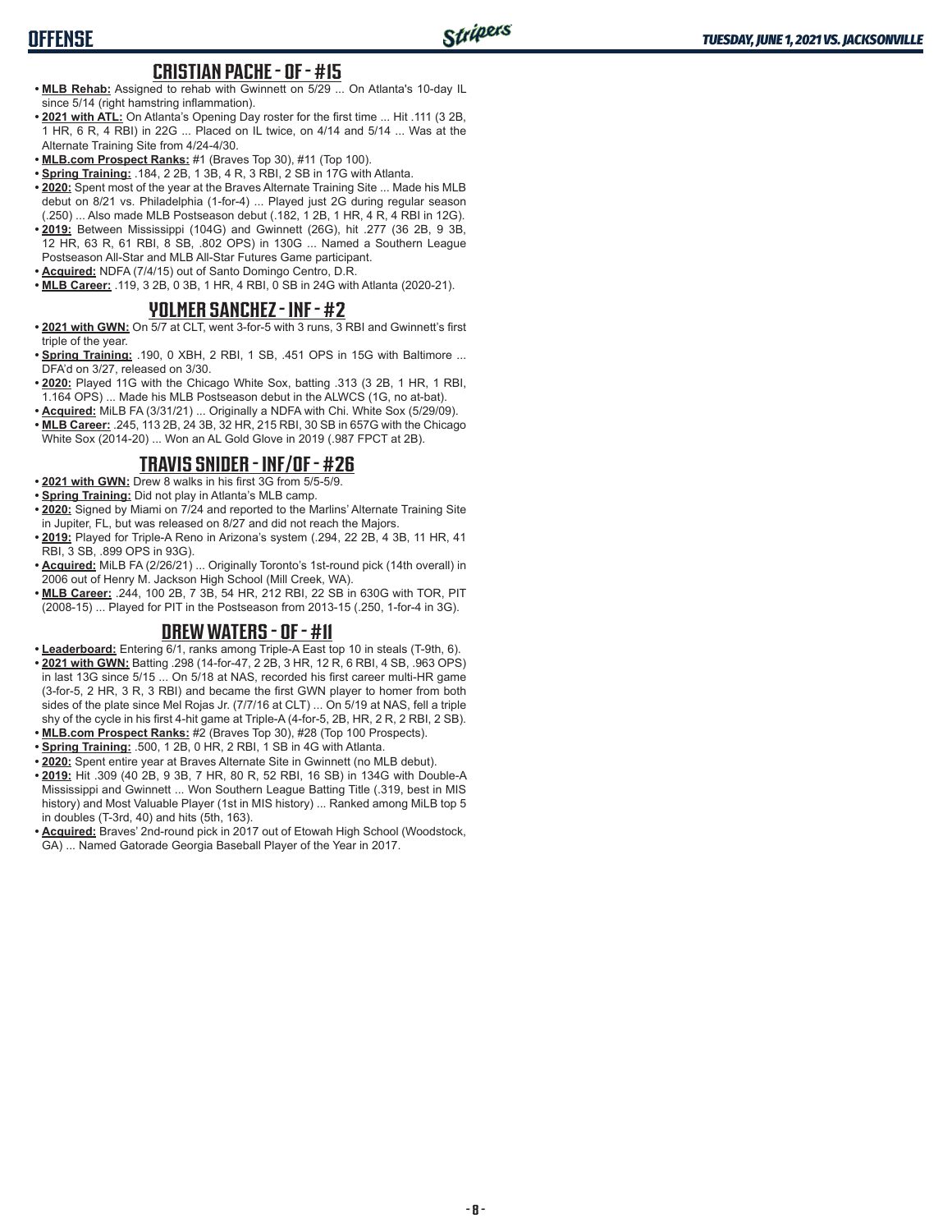# **CRISTIAN PACHE - OF - #15**

- **• MLB Rehab:** Assigned to rehab with Gwinnett on 5/29 ... On Atlanta's 10-day IL since 5/14 (right hamstring inflammation).
- **• 2021 with ATL:** On Atlanta's Opening Day roster for the first time ... Hit .111 (3 2B, 1 HR, 6 R, 4 RBI) in 22G ... Placed on IL twice, on 4/14 and 5/14 ... Was at the Alternate Training Site from 4/24-4/30.
- **• MLB.com Prospect Ranks:** #1 (Braves Top 30), #11 (Top 100).
- **• Spring Training:** .184, 2 2B, 1 3B, 4 R, 3 RBI, 2 SB in 17G with Atlanta.
- **• 2020:** Spent most of the year at the Braves Alternate Training Site ... Made his MLB debut on 8/21 vs. Philadelphia (1-for-4) ... Played just 2G during regular season (.250) ... Also made MLB Postseason debut (.182, 1 2B, 1 HR, 4 R, 4 RBI in 12G).
- **• 2019:** Between Mississippi (104G) and Gwinnett (26G), hit .277 (36 2B, 9 3B, 12 HR, 63 R, 61 RBI, 8 SB, .802 OPS) in 130G ... Named a Southern League Postseason All-Star and MLB All-Star Futures Game participant.
- **• Acquired:** NDFA (7/4/15) out of Santo Domingo Centro, D.R.
- **• MLB Career:** .119, 3 2B, 0 3B, 1 HR, 4 RBI, 0 SB in 24G with Atlanta (2020-21).

#### **YOLMER SANCHEZ - INF - #2**

- **• 2021 with GWN:** On 5/7 at CLT, went 3-for-5 with 3 runs, 3 RBI and Gwinnett's first triple of the year.
- **• Spring Training:** .190, 0 XBH, 2 RBI, 1 SB, .451 OPS in 15G with Baltimore ... DFA'd on 3/27, released on 3/30.
- **• 2020:** Played 11G with the Chicago White Sox, batting .313 (3 2B, 1 HR, 1 RBI, 1.164 OPS) ... Made his MLB Postseason debut in the ALWCS (1G, no at-bat).
- **• Acquired:** MiLB FA (3/31/21) ... Originally a NDFA with Chi. White Sox (5/29/09).
- **• MLB Career:** .245, 113 2B, 24 3B, 32 HR, 215 RBI, 30 SB in 657G with the Chicago White Sox (2014-20) ... Won an AL Gold Glove in 2019 (.987 FPCT at 2B).

## **TRAVIS SNIDER - INF/OF - #26**

- **• 2021 with GWN:** Drew 8 walks in his first 3G from 5/5-5/9.
- **• Spring Training:** Did not play in Atlanta's MLB camp.
- **• 2020:** Signed by Miami on 7/24 and reported to the Marlins' Alternate Training Site in Jupiter, FL, but was released on 8/27 and did not reach the Majors.
- **• 2019:** Played for Triple-A Reno in Arizona's system (.294, 22 2B, 4 3B, 11 HR, 41 RBI, 3 SB, .899 OPS in 93G).
- **• Acquired:** MiLB FA (2/26/21) ... Originally Toronto's 1st-round pick (14th overall) in 2006 out of Henry M. Jackson High School (Mill Creek, WA).
- **• MLB Career:** .244, 100 2B, 7 3B, 54 HR, 212 RBI, 22 SB in 630G with TOR, PIT (2008-15) ... Played for PIT in the Postseason from 2013-15 (.250, 1-for-4 in 3G).

## **DREW WATERS - OF - #11**

- **• Leaderboard:** Entering 6/1, ranks among Triple-A East top 10 in steals (T-9th, 6).
- **• 2021 with GWN:** Batting .298 (14-for-47, 2 2B, 3 HR, 12 R, 6 RBI, 4 SB, .963 OPS) in last 13G since 5/15 ... On 5/18 at NAS, recorded his first career multi-HR game (3-for-5, 2 HR, 3 R, 3 RBI) and became the first GWN player to homer from both sides of the plate since Mel Rojas Jr. (7/7/16 at CLT) ... On 5/19 at NAS, fell a triple shy of the cycle in his first 4-hit game at Triple-A (4-for-5, 2B, HR, 2 R, 2 RBI, 2 SB).
- **• MLB.com Prospect Ranks:** #2 (Braves Top 30), #28 (Top 100 Prospects). **• Spring Training:** .500, 1 2B, 0 HR, 2 RBI, 1 SB in 4G with Atlanta.
- **• 2020:** Spent entire year at Braves Alternate Site in Gwinnett (no MLB debut).
- **• 2019:** Hit .309 (40 2B, 9 3B, 7 HR, 80 R, 52 RBI, 16 SB) in 134G with Double-A Mississippi and Gwinnett ... Won Southern League Batting Title (.319, best in MIS history) and Most Valuable Player (1st in MIS history) ... Ranked among MiLB top 5 in doubles (T-3rd, 40) and hits (5th, 163).
- **• Acquired:** Braves' 2nd-round pick in 2017 out of Etowah High School (Woodstock, GA) ... Named Gatorade Georgia Baseball Player of the Year in 2017.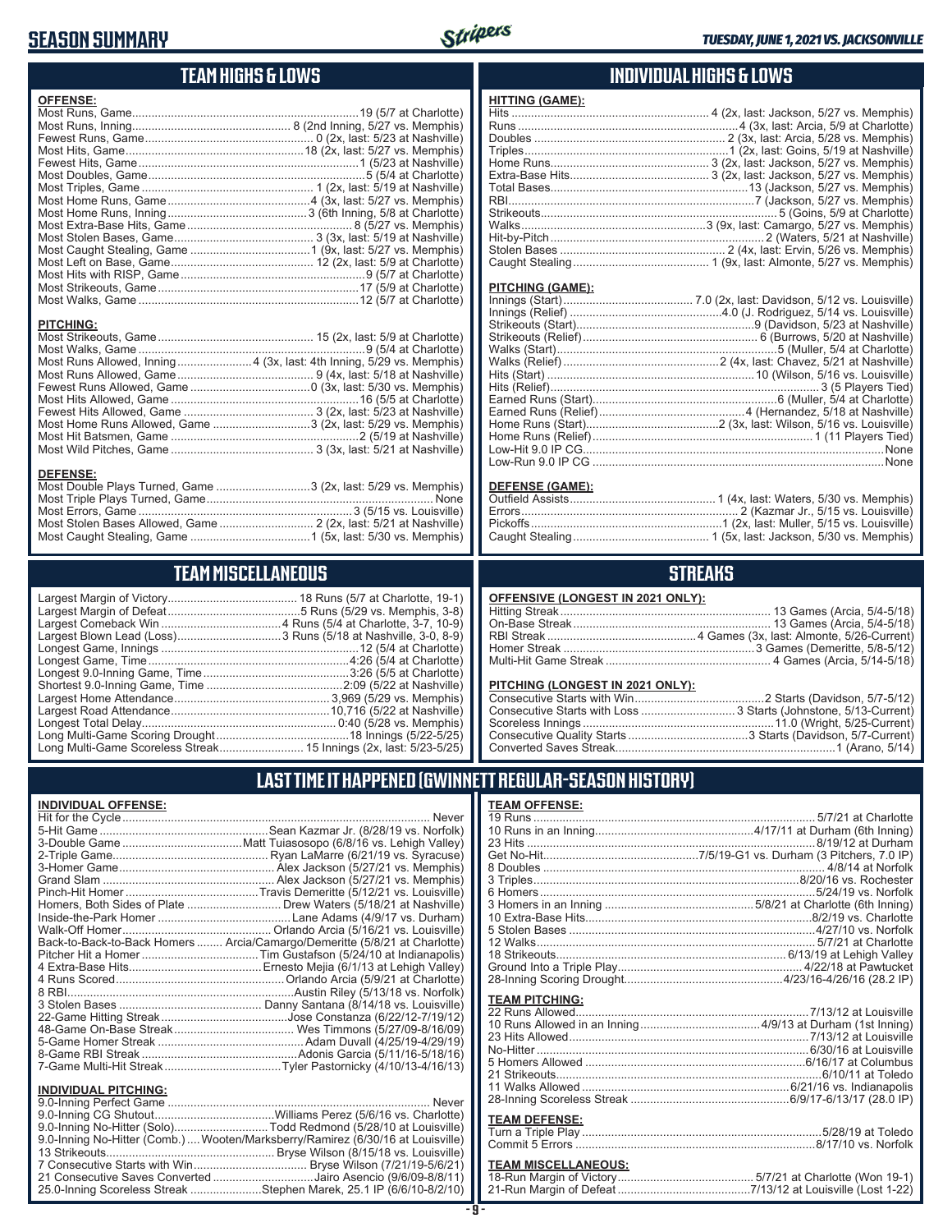## **SEASON SUMMARY**



**HITTING (GAME):**

## **TEAM HIGHS & LOWS**

| <b>OFFENSE:</b>                                                      |  |
|----------------------------------------------------------------------|--|
|                                                                      |  |
|                                                                      |  |
|                                                                      |  |
|                                                                      |  |
|                                                                      |  |
|                                                                      |  |
|                                                                      |  |
|                                                                      |  |
|                                                                      |  |
|                                                                      |  |
|                                                                      |  |
|                                                                      |  |
|                                                                      |  |
|                                                                      |  |
|                                                                      |  |
|                                                                      |  |
|                                                                      |  |
| <b>PITCHING:</b>                                                     |  |
|                                                                      |  |
|                                                                      |  |
| Most Runs Allowed, Inning 4 (3x, last: 4th Inning, 5/29 vs. Memphis) |  |
|                                                                      |  |
|                                                                      |  |
|                                                                      |  |
|                                                                      |  |
| Most Home Runs Allowed, Game 3 (2x, last: 5/29 vs. Memphis)          |  |

Most Hit Batsmen, Game ..........................................................2 (5/19 at Nashville) Most Wild Pitches, Game ............................................ 3 (3x, last: 5/21 at Nashville)

Most Double Plays Turned, Game .............................3 (2x, last: 5/29 vs. Memphis) Most Triple Plays Turned, Game ...................................................................... None Most Errors, Game ..................................................................3 (5/15 vs. Louisville) Most Stolen Bases Allowed, Game ............................. 2 (2x, last: 5/21 at Nashville)

## **INDIVIDUAL HIGHS & LOWS**

| PITCHING (GAME): |  |
|------------------|--|
|                  |  |
|                  |  |
|                  |  |
|                  |  |
|                  |  |
|                  |  |
|                  |  |
|                  |  |
|                  |  |
|                  |  |
|                  |  |
|                  |  |

#### **DEFENSE (GAME):**

Low-Hit 9.0 IP CG.............................................................................................None Low-Run 9.0 IP CG ..........................................................................................None

## **STREAKS**

| OFFENSIVE (LONGEST IN 2021 ONLY): |
|-----------------------------------|
|-----------------------------------|

#### **PITCHING (LONGEST IN 2021 ONLY):**

## **LAST TIME IT HAPPENED (GWINNETT REGULAR-SEASON HISTORY)**

#### **TEAM OFFENSE:**

| <u>ILAM VII LIVJL.</u>     |  |
|----------------------------|--|
|                            |  |
|                            |  |
|                            |  |
|                            |  |
|                            |  |
|                            |  |
|                            |  |
|                            |  |
|                            |  |
|                            |  |
|                            |  |
|                            |  |
|                            |  |
|                            |  |
| <b>TEAM PITCHING:</b>      |  |
|                            |  |
|                            |  |
|                            |  |
|                            |  |
|                            |  |
|                            |  |
|                            |  |
|                            |  |
|                            |  |
| <b>TEAM DEFENSE:</b>       |  |
|                            |  |
|                            |  |
| <b>TEAM MICCELLANEOUS.</b> |  |
|                            |  |

### **TEAM MISCELLANEOUS:**

## Most Caught Stealing, Game .....................................1 (5x, last: 5/30 vs. Memphis) **TEAM MISCELLANEOUS**

| Largest Blown Lead (Loss) 3 Runs (5/18 at Nashville, 3-0, 8-9) |
|----------------------------------------------------------------|
|                                                                |
|                                                                |
|                                                                |
|                                                                |
|                                                                |
|                                                                |
|                                                                |
|                                                                |
|                                                                |
|                                                                |

#### **INDIVIDUAL OFFENSE:**

**DEFENSE:**

|                                                            | Never                                                                      |
|------------------------------------------------------------|----------------------------------------------------------------------------|
|                                                            |                                                                            |
|                                                            |                                                                            |
|                                                            |                                                                            |
|                                                            |                                                                            |
|                                                            |                                                                            |
|                                                            |                                                                            |
|                                                            | Homers, Both Sides of Plate  Drew Waters (5/18/21 at Nashville)            |
|                                                            |                                                                            |
|                                                            |                                                                            |
|                                                            | Back-to-Back-to-Back Homers  Arcia/Camargo/Demeritte (5/8/21 at Charlotte) |
|                                                            |                                                                            |
|                                                            |                                                                            |
|                                                            |                                                                            |
|                                                            |                                                                            |
|                                                            |                                                                            |
|                                                            |                                                                            |
|                                                            |                                                                            |
|                                                            |                                                                            |
|                                                            |                                                                            |
|                                                            |                                                                            |
|                                                            |                                                                            |
| <b>INDIVIDUAL PITCHING:</b><br>$0.0$ leads a Destact Cense | <b>N</b> I                                                                 |

| <b>INDIVIDUAL FILMING.</b>                                                      |  |
|---------------------------------------------------------------------------------|--|
|                                                                                 |  |
|                                                                                 |  |
| 9.0-Inning No-Hitter (Solo)Todd Redmond (5/28/10 at Louisville)                 |  |
| 9.0-Inning No-Hitter (Comb.)  Wooten/Marksberry/Ramirez (6/30/16 at Louisville) |  |
|                                                                                 |  |
|                                                                                 |  |
| 21 Consecutive Saves Converted Jairo Asencio (9/6/09-8/8/11)                    |  |
| 25.0-Inning Scoreless Streak Stephen Marek, 25.1 IP (6/6/10-8/2/10)             |  |
|                                                                                 |  |